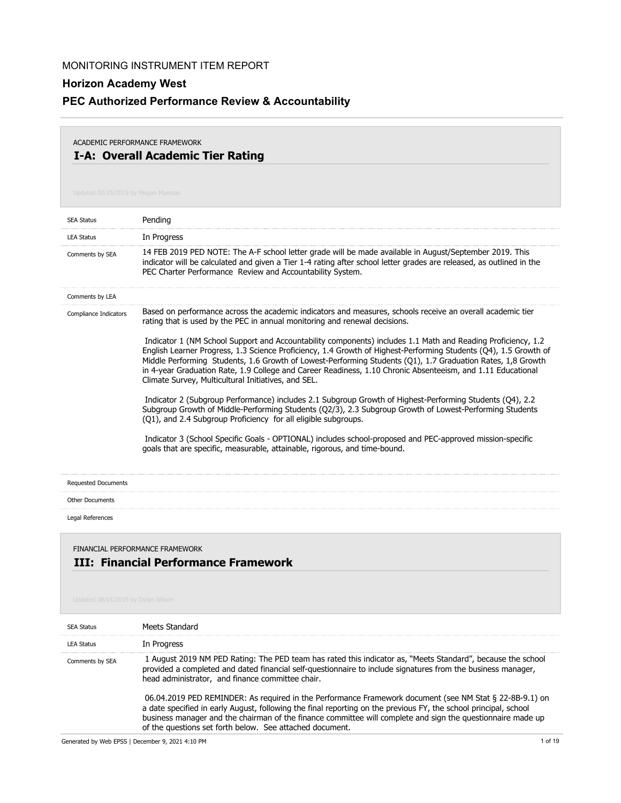# **PEC Authorized Performance Review & Accountability**

## **I-A: Overall Academic Tier Rating** ACADEMIC PERFORMANCE FRAMEWORK

| <b>SEA Status</b>                                                                                                    | Pending                                                                                                                                                                                                                                                                                                                                                                                                                                                                                                               |  |
|----------------------------------------------------------------------------------------------------------------------|-----------------------------------------------------------------------------------------------------------------------------------------------------------------------------------------------------------------------------------------------------------------------------------------------------------------------------------------------------------------------------------------------------------------------------------------------------------------------------------------------------------------------|--|
| <b>LEA Status</b>                                                                                                    | In Progress                                                                                                                                                                                                                                                                                                                                                                                                                                                                                                           |  |
| Comments by SEA                                                                                                      | 14 FEB 2019 PED NOTE: The A-F school letter grade will be made available in August/September 2019. This<br>indicator will be calculated and given a Tier 1-4 rating after school letter grades are released, as outlined in the<br>PEC Charter Performance Review and Accountability System.                                                                                                                                                                                                                          |  |
| Comments by LEA                                                                                                      |                                                                                                                                                                                                                                                                                                                                                                                                                                                                                                                       |  |
| Compliance Indicators                                                                                                | Based on performance across the academic indicators and measures, schools receive an overall academic tier<br>rating that is used by the PEC in annual monitoring and renewal decisions.                                                                                                                                                                                                                                                                                                                              |  |
|                                                                                                                      | Indicator 1 (NM School Support and Accountability components) includes 1.1 Math and Reading Proficiency, 1.2<br>English Learner Progress, 1.3 Science Proficiency, 1.4 Growth of Highest-Performing Students (Q4), 1.5 Growth of<br>Middle Performing Students, 1.6 Growth of Lowest-Performing Students (Q1), 1.7 Graduation Rates, 1,8 Growth<br>in 4-year Graduation Rate, 1.9 College and Career Readiness, 1.10 Chronic Absenteeism, and 1.11 Educational<br>Climate Survey, Multicultural Initiatives, and SEL. |  |
|                                                                                                                      | Indicator 2 (Subgroup Performance) includes 2.1 Subgroup Growth of Highest-Performing Students (Q4), 2.2<br>Subgroup Growth of Middle-Performing Students (Q2/3), 2.3 Subgroup Growth of Lowest-Performing Students<br>(Q1), and 2.4 Subgroup Proficiency for all eligible subgroups.                                                                                                                                                                                                                                 |  |
|                                                                                                                      | Indicator 3 (School Specific Goals - OPTIONAL) includes school-proposed and PEC-approved mission-specific<br>goals that are specific, measurable, attainable, rigorous, and time-bound.                                                                                                                                                                                                                                                                                                                               |  |
| <b>Requested Documents</b>                                                                                           |                                                                                                                                                                                                                                                                                                                                                                                                                                                                                                                       |  |
| <b>Other Documents</b>                                                                                               |                                                                                                                                                                                                                                                                                                                                                                                                                                                                                                                       |  |
| Legal References                                                                                                     |                                                                                                                                                                                                                                                                                                                                                                                                                                                                                                                       |  |
| FINANCIAL PERFORMANCE FRAMEWORK<br><b>III: Financial Performance Framework</b><br>Updated 08/01/2019 by Dylan Wilson |                                                                                                                                                                                                                                                                                                                                                                                                                                                                                                                       |  |
| <b>SEA Status</b>                                                                                                    | Meets Standard                                                                                                                                                                                                                                                                                                                                                                                                                                                                                                        |  |
| <b>LEA Status</b>                                                                                                    | In Progress                                                                                                                                                                                                                                                                                                                                                                                                                                                                                                           |  |
| Comments by SEA                                                                                                      | 1 August 2019 NM PED Rating: The PED team has rated this indicator as, "Meets Standard", because the school<br>provided a completed and dated financial self-questionnaire to include signatures from the business manager,<br>head administrator, and finance committee chair.                                                                                                                                                                                                                                       |  |
|                                                                                                                      | 06.04.2019 PED REMINDER: As required in the Performance Framework document (see NM Stat § 22-8B-9.1) on<br>a date specified in early August, following the final reporting on the previous FY, the school principal, school<br>business manager and the chairman of the finance committee will complete and sign the questionnaire made up<br>of the questions set forth below. See attached document.                                                                                                                |  |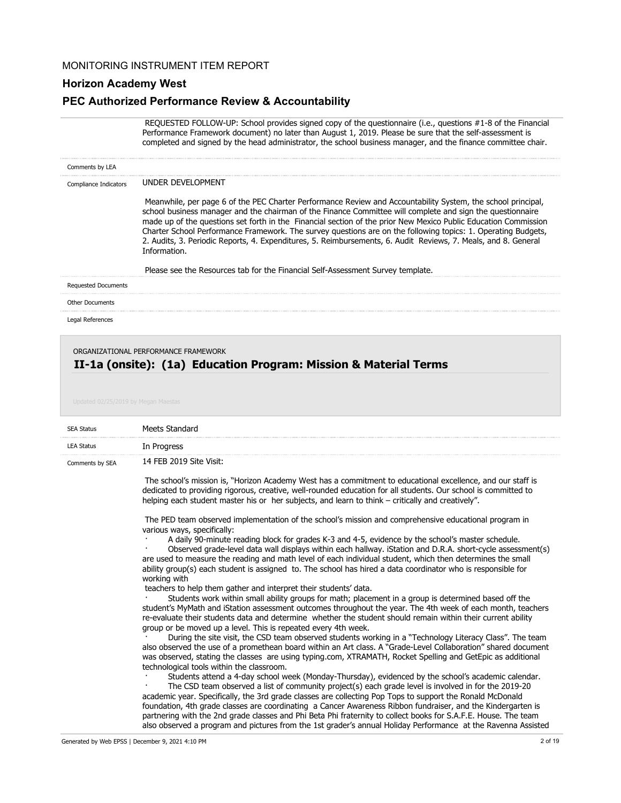### **Horizon Academy West**

#### **PEC Authorized Performance Review & Accountability**

 REQUESTED FOLLOW-UP: School provides signed copy of the questionnaire (i.e., questions #1-8 of the Financial Performance Framework document) no later than August 1, 2019. Please be sure that the self-assessment is completed and signed by the head administrator, the school business manager, and the finance committee chair.

| Comments by LEA            |                                                                                                                                                                                                                                                                                                                                                                                                                                                                                                                                                                                                                                                                                     |
|----------------------------|-------------------------------------------------------------------------------------------------------------------------------------------------------------------------------------------------------------------------------------------------------------------------------------------------------------------------------------------------------------------------------------------------------------------------------------------------------------------------------------------------------------------------------------------------------------------------------------------------------------------------------------------------------------------------------------|
| Compliance Indicators      | UNDER DEVELOPMENT                                                                                                                                                                                                                                                                                                                                                                                                                                                                                                                                                                                                                                                                   |
|                            | Meanwhile, per page 6 of the PEC Charter Performance Review and Accountability System, the school principal,<br>school business manager and the chairman of the Finance Committee will complete and sign the questionnaire<br>made up of the questions set forth in the Financial section of the prior New Mexico Public Education Commission<br>Charter School Performance Framework. The survey questions are on the following topics: 1. Operating Budgets,<br>2. Audits, 3. Periodic Reports, 4. Expenditures, 5. Reimbursements, 6. Audit Reviews, 7. Meals, and 8. General<br>Information.<br>Please see the Resources tab for the Financial Self-Assessment Survey template. |
| <b>Requested Documents</b> |                                                                                                                                                                                                                                                                                                                                                                                                                                                                                                                                                                                                                                                                                     |
| <b>Other Documents</b>     |                                                                                                                                                                                                                                                                                                                                                                                                                                                                                                                                                                                                                                                                                     |
| Legal References           |                                                                                                                                                                                                                                                                                                                                                                                                                                                                                                                                                                                                                                                                                     |
|                            |                                                                                                                                                                                                                                                                                                                                                                                                                                                                                                                                                                                                                                                                                     |

#### ORGANIZATIONAL PERFORMANCE FRAMEWORK

## **II-1a (onsite): (1a) Education Program: Mission & Material Terms**

| <b>SEA Status</b> | Meets Standard                                                                                                                                                                                                                                                                                                                                                                                                                                                                            |
|-------------------|-------------------------------------------------------------------------------------------------------------------------------------------------------------------------------------------------------------------------------------------------------------------------------------------------------------------------------------------------------------------------------------------------------------------------------------------------------------------------------------------|
| <b>LEA Status</b> | In Progress                                                                                                                                                                                                                                                                                                                                                                                                                                                                               |
| Comments by SEA   | 14 FEB 2019 Site Visit:                                                                                                                                                                                                                                                                                                                                                                                                                                                                   |
|                   | The school's mission is, "Horizon Academy West has a commitment to educational excellence, and our staff is<br>dedicated to providing rigorous, creative, well-rounded education for all students. Our school is committed to<br>helping each student master his or her subjects, and learn to think – critically and creatively".                                                                                                                                                        |
|                   | The PED team observed implementation of the school's mission and comprehensive educational program in<br>various ways, specifically:                                                                                                                                                                                                                                                                                                                                                      |
|                   | A daily 90-minute reading block for grades K-3 and 4-5, evidence by the school's master schedule.<br>Observed grade-level data wall displays within each hallway. iStation and D.R.A. short-cycle assessment(s)<br>are used to measure the reading and math level of each individual student, which then determines the small<br>ability group(s) each student is assigned to. The school has hired a data coordinator who is responsible for                                             |
|                   | working with<br>teachers to help them gather and interpret their students' data.<br>Students work within small ability groups for math; placement in a group is determined based off the<br>student's MyMath and iStation assessment outcomes throughout the year. The 4th week of each month, teachers<br>re-evaluate their students data and determine whether the student should remain within their current ability<br>group or be moved up a level. This is repeated every 4th week. |
|                   | During the site visit, the CSD team observed students working in a "Technology Literacy Class". The team<br>also observed the use of a promethean board within an Art class. A "Grade-Level Collaboration" shared document<br>was observed, stating the classes are using typing.com, XTRAMATH, Rocket Spelling and GetEpic as additional<br>technological tools within the classroom.                                                                                                    |
|                   | Students attend a 4-day school week (Monday-Thursday), evidenced by the school's academic calendar.<br>The CSD team observed a list of community project(s) each grade level is involved in for the 2019-20<br>academic year. Specifically, the 3rd grade classes are collecting Pop Tops to support the Ronald McDonald<br>foundation, 4th grade classes are coordinating a Cancer Awareness Ribbon fundraiser, and the Kindergarten is                                                  |

partnering with the 2nd grade classes and Phi Beta Phi fraternity to collect books for S.A.F.E. House. The team also observed a program and pictures from the 1st grader's annual Holiday Performance at the Ravenna Assisted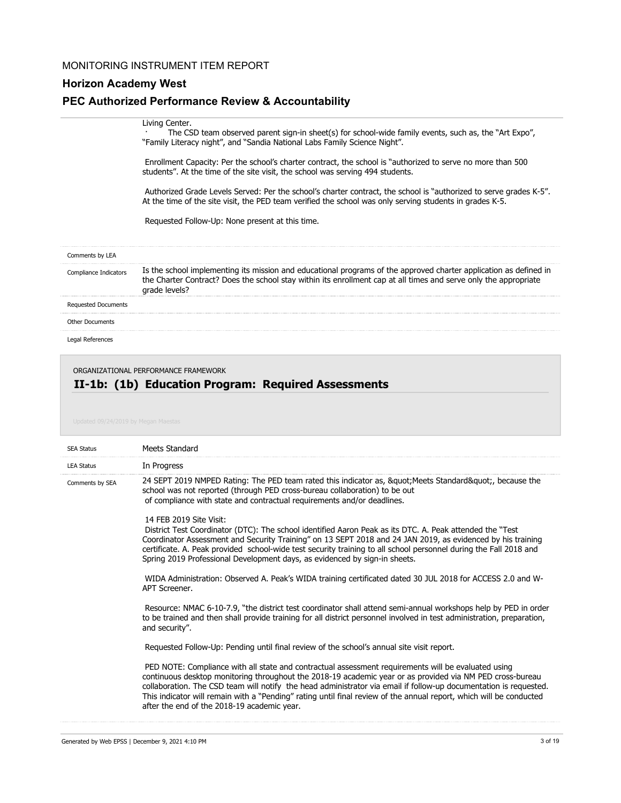## **Horizon Academy West**

## **PEC Authorized Performance Review & Accountability**

|                            | Living Center.<br>The CSD team observed parent sign-in sheet(s) for school-wide family events, such as, the "Art Expo",<br>"Family Literacy night", and "Sandia National Labs Family Science Night".                                                   |
|----------------------------|--------------------------------------------------------------------------------------------------------------------------------------------------------------------------------------------------------------------------------------------------------|
|                            | Enrollment Capacity: Per the school's charter contract, the school is "authorized to serve no more than 500<br>students". At the time of the site visit, the school was serving 494 students.                                                          |
|                            | Authorized Grade Levels Served: Per the school's charter contract, the school is "authorized to serve grades K-5".<br>At the time of the site visit, the PED team verified the school was only serving students in grades K-5.                         |
|                            | Requested Follow-Up: None present at this time.                                                                                                                                                                                                        |
| Comments by LEA            |                                                                                                                                                                                                                                                        |
| Compliance Indicators      | Is the school implementing its mission and educational programs of the approved charter application as defined in<br>the Charter Contract? Does the school stay within its enrollment cap at all times and serve only the appropriate<br>grade levels? |
| <b>Requested Documents</b> |                                                                                                                                                                                                                                                        |
| <b>Other Documents</b>     |                                                                                                                                                                                                                                                        |

Legal References

#### ORGANIZATIONAL PERFORMANCE FRAMEWORK

## **II-1b: (1b) Education Program: Required Assessments**

| Updated 09/24/2019 by Megan Maestas |  |  |
|-------------------------------------|--|--|
|                                     |  |  |
|                                     |  |  |

| <b>SEA Status</b> | Meets Standard                                                                                                                                                                                                                                                                                                                                                                                                                                                                                              |
|-------------------|-------------------------------------------------------------------------------------------------------------------------------------------------------------------------------------------------------------------------------------------------------------------------------------------------------------------------------------------------------------------------------------------------------------------------------------------------------------------------------------------------------------|
| <b>LEA Status</b> | In Progress                                                                                                                                                                                                                                                                                                                                                                                                                                                                                                 |
| Comments by SEA   | 24 SEPT 2019 NMPED Rating: The PED team rated this indicator as, & quot; Meets Standard & quot;, because the<br>school was not reported (through PED cross-bureau collaboration) to be out<br>of compliance with state and contractual requirements and/or deadlines.                                                                                                                                                                                                                                       |
|                   | 14 FFB 2019 Site Visit:<br>District Test Coordinator (DTC): The school identified Aaron Peak as its DTC. A. Peak attended the "Test<br>Coordinator Assessment and Security Training" on 13 SEPT 2018 and 24 JAN 2019, as evidenced by his training<br>certificate. A. Peak provided school-wide test security training to all school personnel during the Fall 2018 and<br>Spring 2019 Professional Development days, as evidenced by sign-in sheets.                                                       |
|                   | WIDA Administration: Observed A. Peak's WIDA training certificated dated 30 JUL 2018 for ACCESS 2.0 and W-<br>APT Screener.                                                                                                                                                                                                                                                                                                                                                                                 |
|                   | Resource: NMAC 6-10-7.9, "the district test coordinator shall attend semi-annual workshops help by PED in order<br>to be trained and then shall provide training for all district personnel involved in test administration, preparation,<br>and security".                                                                                                                                                                                                                                                 |
|                   | Requested Follow-Up: Pending until final review of the school's annual site visit report.                                                                                                                                                                                                                                                                                                                                                                                                                   |
|                   | PED NOTE: Compliance with all state and contractual assessment requirements will be evaluated using<br>continuous desktop monitoring throughout the 2018-19 academic year or as provided via NM PED cross-bureau<br>collaboration. The CSD team will notify the head administrator via email if follow-up documentation is requested.<br>This indicator will remain with a "Pending" rating until final review of the annual report, which will be conducted<br>after the end of the 2018-19 academic year. |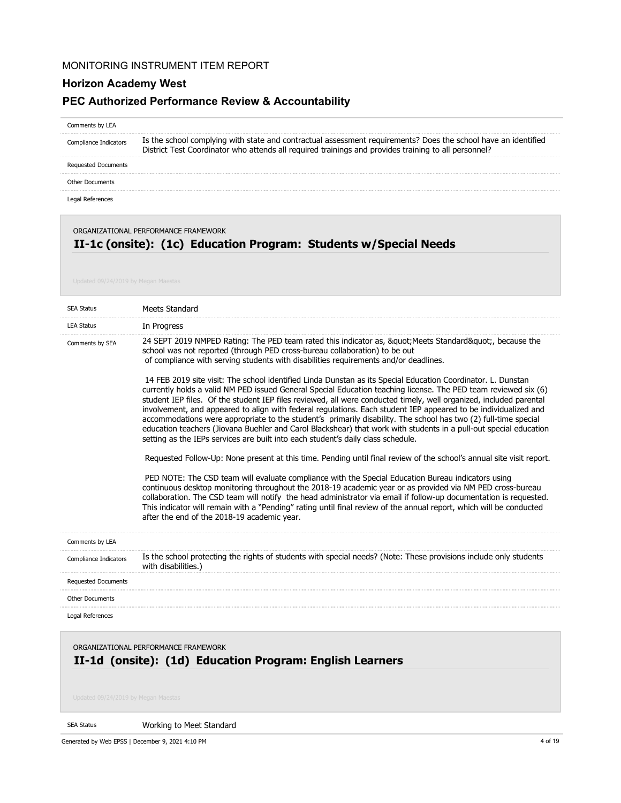## **Horizon Academy West**

### **PEC Authorized Performance Review & Accountability**

#### Comments by LEA

Is the school complying with state and contractual assessment requirements? Does the school have an identified District Test Coordinator who attends all required trainings and provides training to all personnel? Compliance Indicators

Requested Documents

Other Documents

Legal References

ORGANIZATIONAL PERFORMANCE FRAMEWORK

## **II-1c (onsite): (1c) Education Program: Students w/Special Needs**

| <b>SEA Status</b>          | Meets Standard                                                                                                                                                                                                                                                                                                                                                                                                                                                                                                                                                                                                                                                                                                                                                                                                                                                                                                                                                                                                                                                                                                                                                                                                                                                                                                                                                                                                           |
|----------------------------|--------------------------------------------------------------------------------------------------------------------------------------------------------------------------------------------------------------------------------------------------------------------------------------------------------------------------------------------------------------------------------------------------------------------------------------------------------------------------------------------------------------------------------------------------------------------------------------------------------------------------------------------------------------------------------------------------------------------------------------------------------------------------------------------------------------------------------------------------------------------------------------------------------------------------------------------------------------------------------------------------------------------------------------------------------------------------------------------------------------------------------------------------------------------------------------------------------------------------------------------------------------------------------------------------------------------------------------------------------------------------------------------------------------------------|
| <b>LEA Status</b>          | In Progress                                                                                                                                                                                                                                                                                                                                                                                                                                                                                                                                                                                                                                                                                                                                                                                                                                                                                                                                                                                                                                                                                                                                                                                                                                                                                                                                                                                                              |
| Comments by SEA            | 24 SEPT 2019 NMPED Rating: The PED team rated this indicator as, " Meets Standard", because the<br>school was not reported (through PED cross-bureau collaboration) to be out<br>of compliance with serving students with disabilities requirements and/or deadlines.<br>14 FEB 2019 site visit: The school identified Linda Dunstan as its Special Education Coordinator. L. Dunstan<br>currently holds a valid NM PED issued General Special Education teaching license. The PED team reviewed six (6)<br>student IEP files. Of the student IEP files reviewed, all were conducted timely, well organized, included parental<br>involvement, and appeared to align with federal regulations. Each student IEP appeared to be individualized and<br>accommodations were appropriate to the student's primarily disability. The school has two (2) full-time special<br>education teachers (Jiovana Buehler and Carol Blackshear) that work with students in a pull-out special education<br>setting as the IEPs services are built into each student's daily class schedule.<br>Requested Follow-Up: None present at this time. Pending until final review of the school's annual site visit report.<br>PED NOTE: The CSD team will evaluate compliance with the Special Education Bureau indicators using<br>continuous desktop monitoring throughout the 2018-19 academic year or as provided via NM PED cross-bureau |
| Comments by LEA            | collaboration. The CSD team will notify the head administrator via email if follow-up documentation is requested.<br>This indicator will remain with a "Pending" rating until final review of the annual report, which will be conducted<br>after the end of the 2018-19 academic year.                                                                                                                                                                                                                                                                                                                                                                                                                                                                                                                                                                                                                                                                                                                                                                                                                                                                                                                                                                                                                                                                                                                                  |
|                            | Is the school protecting the rights of students with special needs? (Note: These provisions include only students                                                                                                                                                                                                                                                                                                                                                                                                                                                                                                                                                                                                                                                                                                                                                                                                                                                                                                                                                                                                                                                                                                                                                                                                                                                                                                        |
| Compliance Indicators      | with disabilities.)                                                                                                                                                                                                                                                                                                                                                                                                                                                                                                                                                                                                                                                                                                                                                                                                                                                                                                                                                                                                                                                                                                                                                                                                                                                                                                                                                                                                      |
| <b>Requested Documents</b> |                                                                                                                                                                                                                                                                                                                                                                                                                                                                                                                                                                                                                                                                                                                                                                                                                                                                                                                                                                                                                                                                                                                                                                                                                                                                                                                                                                                                                          |
| Other Documents            |                                                                                                                                                                                                                                                                                                                                                                                                                                                                                                                                                                                                                                                                                                                                                                                                                                                                                                                                                                                                                                                                                                                                                                                                                                                                                                                                                                                                                          |
| Legal References           |                                                                                                                                                                                                                                                                                                                                                                                                                                                                                                                                                                                                                                                                                                                                                                                                                                                                                                                                                                                                                                                                                                                                                                                                                                                                                                                                                                                                                          |
|                            | ORGANIZATIONAL PERFORMANCE FRAMEWORK                                                                                                                                                                                                                                                                                                                                                                                                                                                                                                                                                                                                                                                                                                                                                                                                                                                                                                                                                                                                                                                                                                                                                                                                                                                                                                                                                                                     |

## **II-1d (onsite): (1d) Education Program: English Learners**

SEA Status

Working to Meet Standard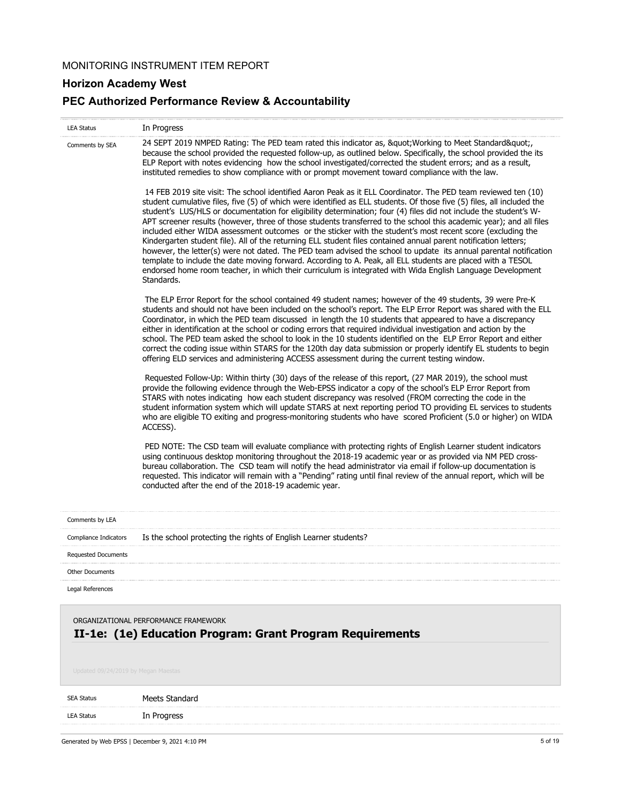## **Horizon Academy West**

## **PEC Authorized Performance Review & Accountability**

| <b>LEA Status</b>                                                                                                                        | In Progress                                                                                                                                                                                                                                                                                                                                                                                                                                                                                                                                                                                                                                                                                                                                                                                                                                                                                                                                                                                                                                                                             |
|------------------------------------------------------------------------------------------------------------------------------------------|-----------------------------------------------------------------------------------------------------------------------------------------------------------------------------------------------------------------------------------------------------------------------------------------------------------------------------------------------------------------------------------------------------------------------------------------------------------------------------------------------------------------------------------------------------------------------------------------------------------------------------------------------------------------------------------------------------------------------------------------------------------------------------------------------------------------------------------------------------------------------------------------------------------------------------------------------------------------------------------------------------------------------------------------------------------------------------------------|
| Comments by SEA                                                                                                                          | 24 SEPT 2019 NMPED Rating: The PED team rated this indicator as, " Working to Meet Standard",<br>because the school provided the requested follow-up, as outlined below. Specifically, the school provided the its<br>ELP Report with notes evidencing how the school investigated/corrected the student errors; and as a result,<br>instituted remedies to show compliance with or prompt movement toward compliance with the law.                                                                                                                                                                                                                                                                                                                                                                                                                                                                                                                                                                                                                                                     |
|                                                                                                                                          | 14 FEB 2019 site visit: The school identified Aaron Peak as it ELL Coordinator. The PED team reviewed ten (10)<br>student cumulative files, five (5) of which were identified as ELL students. Of those five (5) files, all included the<br>student's LUS/HLS or documentation for eligibility determination; four (4) files did not include the student's W-<br>APT screener results (however, three of those students transferred to the school this academic year); and all files<br>included either WIDA assessment outcomes or the sticker with the student's most recent score (excluding the<br>Kindergarten student file). All of the returning ELL student files contained annual parent notification letters;<br>however, the letter(s) were not dated. The PED team advised the school to update its annual parental notification<br>template to include the date moving forward. According to A. Peak, all ELL students are placed with a TESOL<br>endorsed home room teacher, in which their curriculum is integrated with Wida English Language Development<br>Standards. |
|                                                                                                                                          | The ELP Error Report for the school contained 49 student names; however of the 49 students, 39 were Pre-K<br>students and should not have been included on the school's report. The ELP Error Report was shared with the ELL<br>Coordinator, in which the PED team discussed in length the 10 students that appeared to have a discrepancy<br>either in identification at the school or coding errors that required individual investigation and action by the<br>school. The PED team asked the school to look in the 10 students identified on the ELP Error Report and either<br>correct the coding issue within STARS for the 120th day data submission or properly identify EL students to begin<br>offering ELD services and administering ACCESS assessment during the current testing window.                                                                                                                                                                                                                                                                                   |
|                                                                                                                                          | Requested Follow-Up: Within thirty (30) days of the release of this report, (27 MAR 2019), the school must<br>provide the following evidence through the Web-EPSS indicator a copy of the school's ELP Error Report from<br>STARS with notes indicating how each student discrepancy was resolved (FROM correcting the code in the<br>student information system which will update STARS at next reporting period TO providing EL services to students<br>who are eligible TO exiting and progress-monitoring students who have scored Proficient (5.0 or higher) on WIDA<br>ACCESS).                                                                                                                                                                                                                                                                                                                                                                                                                                                                                                   |
|                                                                                                                                          | PED NOTE: The CSD team will evaluate compliance with protecting rights of English Learner student indicators<br>using continuous desktop monitoring throughout the 2018-19 academic year or as provided via NM PED cross-<br>bureau collaboration. The CSD team will notify the head administrator via email if follow-up documentation is<br>requested. This indicator will remain with a "Pending" rating until final review of the annual report, which will be<br>conducted after the end of the 2018-19 academic year.                                                                                                                                                                                                                                                                                                                                                                                                                                                                                                                                                             |
| Comments by LEA                                                                                                                          |                                                                                                                                                                                                                                                                                                                                                                                                                                                                                                                                                                                                                                                                                                                                                                                                                                                                                                                                                                                                                                                                                         |
| Compliance Indicators                                                                                                                    | Is the school protecting the rights of English Learner students?                                                                                                                                                                                                                                                                                                                                                                                                                                                                                                                                                                                                                                                                                                                                                                                                                                                                                                                                                                                                                        |
| <b>Requested Documents</b>                                                                                                               |                                                                                                                                                                                                                                                                                                                                                                                                                                                                                                                                                                                                                                                                                                                                                                                                                                                                                                                                                                                                                                                                                         |
| <b>Other Documents</b>                                                                                                                   |                                                                                                                                                                                                                                                                                                                                                                                                                                                                                                                                                                                                                                                                                                                                                                                                                                                                                                                                                                                                                                                                                         |
| Legal References                                                                                                                         |                                                                                                                                                                                                                                                                                                                                                                                                                                                                                                                                                                                                                                                                                                                                                                                                                                                                                                                                                                                                                                                                                         |
| ORGANIZATIONAL PERFORMANCE FRAMEWORK<br>II-1e: (1e) Education Program: Grant Program Requirements<br>Updated 09/24/2019 by Megan Maestas |                                                                                                                                                                                                                                                                                                                                                                                                                                                                                                                                                                                                                                                                                                                                                                                                                                                                                                                                                                                                                                                                                         |
| <b>SEA Status</b>                                                                                                                        | Meets Standard                                                                                                                                                                                                                                                                                                                                                                                                                                                                                                                                                                                                                                                                                                                                                                                                                                                                                                                                                                                                                                                                          |
| <b>LEA Status</b>                                                                                                                        | In Progress                                                                                                                                                                                                                                                                                                                                                                                                                                                                                                                                                                                                                                                                                                                                                                                                                                                                                                                                                                                                                                                                             |
|                                                                                                                                          |                                                                                                                                                                                                                                                                                                                                                                                                                                                                                                                                                                                                                                                                                                                                                                                                                                                                                                                                                                                                                                                                                         |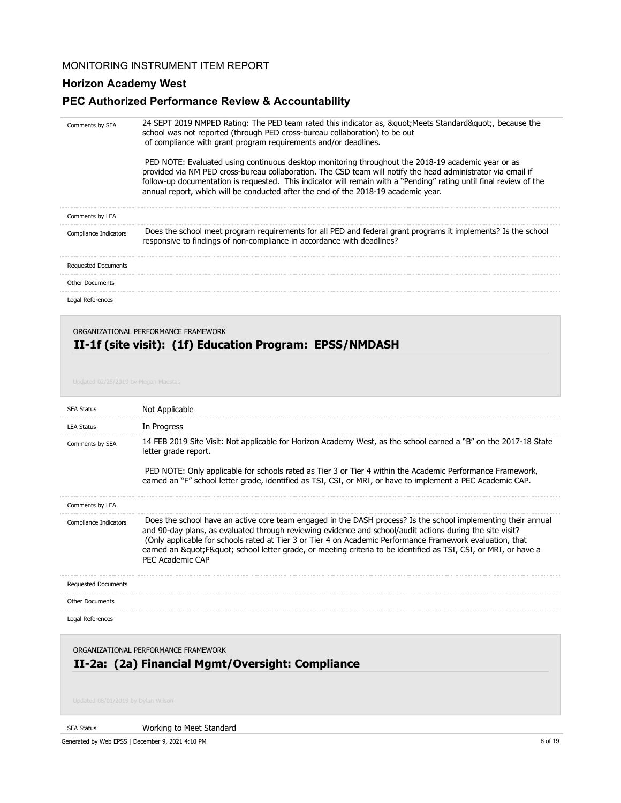## **Horizon Academy West**

## **PEC Authorized Performance Review & Accountability**

| Comments by SEA                      | 24 SEPT 2019 NMPED Rating: The PED team rated this indicator as, " Meets Standard", because the<br>school was not reported (through PED cross-bureau collaboration) to be out<br>of compliance with grant program requirements and/or deadlines.<br>PED NOTE: Evaluated using continuous desktop monitoring throughout the 2018-19 academic year or as<br>provided via NM PED cross-bureau collaboration. The CSD team will notify the head administrator via email if<br>follow-up documentation is requested. This indicator will remain with a "Pending" rating until final review of the<br>annual report, which will be conducted after the end of the 2018-19 academic year. |
|--------------------------------------|------------------------------------------------------------------------------------------------------------------------------------------------------------------------------------------------------------------------------------------------------------------------------------------------------------------------------------------------------------------------------------------------------------------------------------------------------------------------------------------------------------------------------------------------------------------------------------------------------------------------------------------------------------------------------------|
| Comments by LEA                      |                                                                                                                                                                                                                                                                                                                                                                                                                                                                                                                                                                                                                                                                                    |
| Compliance Indicators                | Does the school meet program requirements for all PED and federal grant programs it implements? Is the school<br>responsive to findings of non-compliance in accordance with deadlines?                                                                                                                                                                                                                                                                                                                                                                                                                                                                                            |
| <b>Requested Documents</b>           |                                                                                                                                                                                                                                                                                                                                                                                                                                                                                                                                                                                                                                                                                    |
| <b>Other Documents</b>               |                                                                                                                                                                                                                                                                                                                                                                                                                                                                                                                                                                                                                                                                                    |
| Legal References                     |                                                                                                                                                                                                                                                                                                                                                                                                                                                                                                                                                                                                                                                                                    |
|                                      | II-1f (site visit): (1f) Education Program: EPSS/NMDASH                                                                                                                                                                                                                                                                                                                                                                                                                                                                                                                                                                                                                            |
| Updated 02/25/2019 by Megan Maestas  |                                                                                                                                                                                                                                                                                                                                                                                                                                                                                                                                                                                                                                                                                    |
| <b>SEA Status</b>                    | Not Applicable                                                                                                                                                                                                                                                                                                                                                                                                                                                                                                                                                                                                                                                                     |
| <b>LEA Status</b><br>Comments by SEA | In Progress<br>14 FEB 2019 Site Visit: Not applicable for Horizon Academy West, as the school earned a "B" on the 2017-18 State<br>letter grade report.<br>PED NOTE: Only applicable for schools rated as Tier 3 or Tier 4 within the Academic Performance Framework,<br>earned an "F" school letter grade, identified as TSI, CSI, or MRI, or have to implement a PEC Academic CAP.                                                                                                                                                                                                                                                                                               |
| Comments by LEA                      |                                                                                                                                                                                                                                                                                                                                                                                                                                                                                                                                                                                                                                                                                    |
| Compliance Indicators                | Does the school have an active core team engaged in the DASH process? Is the school implementing their annual<br>and 90-day plans, as evaluated through reviewing evidence and school/audit actions during the site visit?<br>(Only applicable for schools rated at Tier 3 or Tier 4 on Academic Performance Framework evaluation, that<br>earned an "F" school letter grade, or meeting criteria to be identified as TSI, CSI, or MRI, or have a<br>PEC Academic CAP                                                                                                                                                                                                              |
| <b>Requested Documents</b>           |                                                                                                                                                                                                                                                                                                                                                                                                                                                                                                                                                                                                                                                                                    |
| <b>Other Documents</b>               |                                                                                                                                                                                                                                                                                                                                                                                                                                                                                                                                                                                                                                                                                    |

ORGANIZATIONAL PERFORMANCE FRAMEWORK

## **II-2a: (2a) Financial Mgmt/Oversight: Compliance**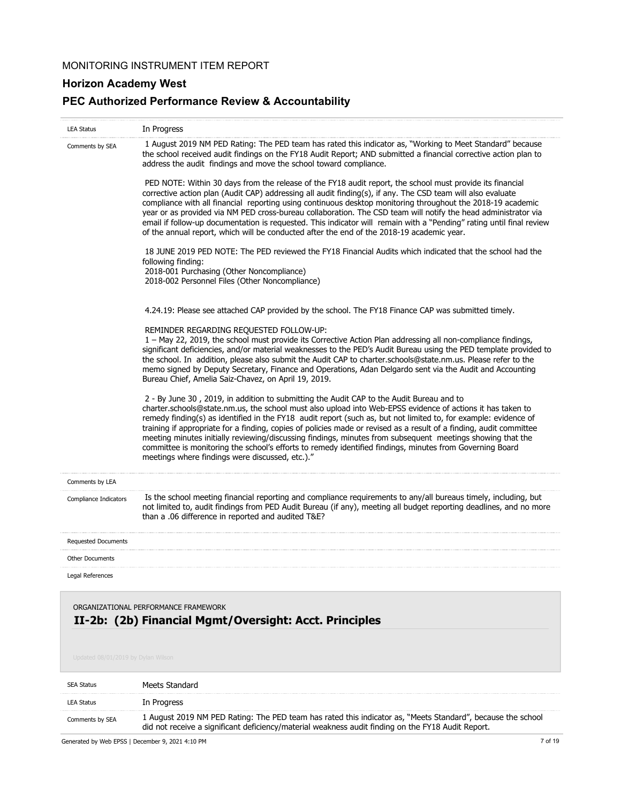## **Horizon Academy West**

## **PEC Authorized Performance Review & Accountability**

| <b>LEA Status</b>                  | In Progress                                                                                                                                                                                                                                                                                                                                                                                                                                                                                                                                                                                                                                                                                                                   |
|------------------------------------|-------------------------------------------------------------------------------------------------------------------------------------------------------------------------------------------------------------------------------------------------------------------------------------------------------------------------------------------------------------------------------------------------------------------------------------------------------------------------------------------------------------------------------------------------------------------------------------------------------------------------------------------------------------------------------------------------------------------------------|
| Comments by SEA                    | 1 August 2019 NM PED Rating: The PED team has rated this indicator as, "Working to Meet Standard" because<br>the school received audit findings on the FY18 Audit Report; AND submitted a financial corrective action plan to<br>address the audit findings and move the school toward compliance.                                                                                                                                                                                                                                                                                                                                                                                                                            |
|                                    | PED NOTE: Within 30 days from the release of the FY18 audit report, the school must provide its financial<br>corrective action plan (Audit CAP) addressing all audit finding(s), if any. The CSD team will also evaluate<br>compliance with all financial reporting using continuous desktop monitoring throughout the 2018-19 academic<br>year or as provided via NM PED cross-bureau collaboration. The CSD team will notify the head administrator via<br>email if follow-up documentation is requested. This indicator will remain with a "Pending" rating until final review<br>of the annual report, which will be conducted after the end of the 2018-19 academic year.                                                |
|                                    | 18 JUNE 2019 PED NOTE: The PED reviewed the FY18 Financial Audits which indicated that the school had the<br>following finding:<br>2018-001 Purchasing (Other Noncompliance)<br>2018-002 Personnel Files (Other Noncompliance)                                                                                                                                                                                                                                                                                                                                                                                                                                                                                                |
|                                    | 4.24.19: Please see attached CAP provided by the school. The FY18 Finance CAP was submitted timely.                                                                                                                                                                                                                                                                                                                                                                                                                                                                                                                                                                                                                           |
|                                    | REMINDER REGARDING REQUESTED FOLLOW-UP:<br>1 - May 22, 2019, the school must provide its Corrective Action Plan addressing all non-compliance findings,<br>significant deficiencies, and/or material weaknesses to the PED's Audit Bureau using the PED template provided to<br>the school. In addition, please also submit the Audit CAP to charter.schools@state.nm.us. Please refer to the<br>memo signed by Deputy Secretary, Finance and Operations, Adan Delgardo sent via the Audit and Accounting<br>Bureau Chief, Amelia Saiz-Chavez, on April 19, 2019.                                                                                                                                                             |
|                                    | 2 - By June 30, 2019, in addition to submitting the Audit CAP to the Audit Bureau and to<br>charter.schools@state.nm.us, the school must also upload into Web-EPSS evidence of actions it has taken to<br>remedy finding(s) as identified in the FY18 audit report (such as, but not limited to, for example: evidence of<br>training if appropriate for a finding, copies of policies made or revised as a result of a finding, audit committee<br>meeting minutes initially reviewing/discussing findings, minutes from subsequent meetings showing that the<br>committee is monitoring the school's efforts to remedy identified findings, minutes from Governing Board<br>meetings where findings were discussed, etc.)." |
| Comments by LEA                    |                                                                                                                                                                                                                                                                                                                                                                                                                                                                                                                                                                                                                                                                                                                               |
| Compliance Indicators              | Is the school meeting financial reporting and compliance requirements to any/all bureaus timely, including, but<br>not limited to, audit findings from PED Audit Bureau (if any), meeting all budget reporting deadlines, and no more<br>than a .06 difference in reported and audited T&E?                                                                                                                                                                                                                                                                                                                                                                                                                                   |
| <b>Requested Documents</b>         |                                                                                                                                                                                                                                                                                                                                                                                                                                                                                                                                                                                                                                                                                                                               |
| <b>Other Documents</b>             |                                                                                                                                                                                                                                                                                                                                                                                                                                                                                                                                                                                                                                                                                                                               |
| Legal References                   |                                                                                                                                                                                                                                                                                                                                                                                                                                                                                                                                                                                                                                                                                                                               |
|                                    | ORGANIZATIONAL PERFORMANCE FRAMEWORK<br>II-2b: (2b) Financial Mgmt/Oversight: Acct. Principles                                                                                                                                                                                                                                                                                                                                                                                                                                                                                                                                                                                                                                |
| Updated 08/01/2019 by Dylan Wilson |                                                                                                                                                                                                                                                                                                                                                                                                                                                                                                                                                                                                                                                                                                                               |
| <b>SEA Status</b>                  | Meets Standard                                                                                                                                                                                                                                                                                                                                                                                                                                                                                                                                                                                                                                                                                                                |
| <b>LEA Status</b>                  | In Progress                                                                                                                                                                                                                                                                                                                                                                                                                                                                                                                                                                                                                                                                                                                   |
| Comments by SEA                    | 1 August 2019 NM PED Rating: The PED team has rated this indicator as, "Meets Standard", because the school<br>did not receive a significant deficiency/material weakness audit finding on the FY18 Audit Report.                                                                                                                                                                                                                                                                                                                                                                                                                                                                                                             |

Generated by Web EPSS | December 9, 2021 4:10 PM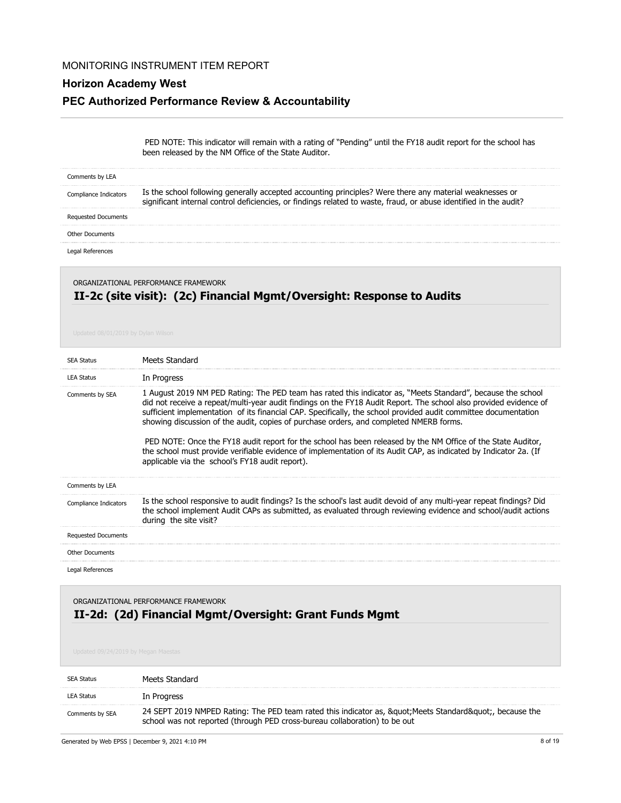## **Horizon Academy West**

### **PEC Authorized Performance Review & Accountability**

 PED NOTE: This indicator will remain with a rating of "Pending" until the FY18 audit report for the school has been released by the NM Office of the State Auditor.

| Comments by LEA       |                                                                                                                                                                                                                              |
|-----------------------|------------------------------------------------------------------------------------------------------------------------------------------------------------------------------------------------------------------------------|
| Compliance Indicators | Is the school following generally accepted accounting principles? Were there any material weaknesses or<br>significant internal control deficiencies, or findings related to waste, fraud, or abuse identified in the audit? |
| Requested Documents   |                                                                                                                                                                                                                              |
| Other Documents       |                                                                                                                                                                                                                              |
|                       |                                                                                                                                                                                                                              |

## **II-2c (site visit): (2c) Financial Mgmt/Oversight: Response to Audits** ORGANIZATIONAL PERFORMANCE FRAMEWORK

| <b>SEA Status</b>          | Meets Standard                                                                                                                                                                                                                                                                                                                                                                                                                                                                                                                                                                                                                                                                                                                        |
|----------------------------|---------------------------------------------------------------------------------------------------------------------------------------------------------------------------------------------------------------------------------------------------------------------------------------------------------------------------------------------------------------------------------------------------------------------------------------------------------------------------------------------------------------------------------------------------------------------------------------------------------------------------------------------------------------------------------------------------------------------------------------|
| <b>LEA Status</b>          | In Progress                                                                                                                                                                                                                                                                                                                                                                                                                                                                                                                                                                                                                                                                                                                           |
| Comments by SEA            | 1 August 2019 NM PED Rating: The PED team has rated this indicator as, "Meets Standard", because the school<br>did not receive a repeat/multi-year audit findings on the FY18 Audit Report. The school also provided evidence of<br>sufficient implementation of its financial CAP. Specifically, the school provided audit committee documentation<br>showing discussion of the audit, copies of purchase orders, and completed NMERB forms.<br>PED NOTE: Once the FY18 audit report for the school has been released by the NM Office of the State Auditor,<br>the school must provide verifiable evidence of implementation of its Audit CAP, as indicated by Indicator 2a. (If<br>applicable via the school's FY18 audit report). |
| Comments by LEA            |                                                                                                                                                                                                                                                                                                                                                                                                                                                                                                                                                                                                                                                                                                                                       |
| Compliance Indicators      | Is the school responsive to audit findings? Is the school's last audit devoid of any multi-year repeat findings? Did<br>the school implement Audit CAPs as submitted, as evaluated through reviewing evidence and school/audit actions<br>during the site visit?                                                                                                                                                                                                                                                                                                                                                                                                                                                                      |
| <b>Requested Documents</b> |                                                                                                                                                                                                                                                                                                                                                                                                                                                                                                                                                                                                                                                                                                                                       |
| <b>Other Documents</b>     |                                                                                                                                                                                                                                                                                                                                                                                                                                                                                                                                                                                                                                                                                                                                       |
| Legal References           |                                                                                                                                                                                                                                                                                                                                                                                                                                                                                                                                                                                                                                                                                                                                       |

## **II-2d: (2d) Financial Mgmt/Oversight: Grant Funds Mgmt** ORGANIZATIONAL PERFORMANCE FRAMEWORK

| SEA Status      | Meets Standard                                                                                                                                                                |
|-----------------|-------------------------------------------------------------------------------------------------------------------------------------------------------------------------------|
| LEA Status      | In Progress                                                                                                                                                                   |
| Comments by SEA | 24 SEPT 2019 NMPED Rating: The PED team rated this indicator as, " Meets Standard", because the<br>school was not reported (through PED cross-bureau collaboration) to be out |

Generated by Web EPSS | December 9, 2021 4:10 PM 8 of 19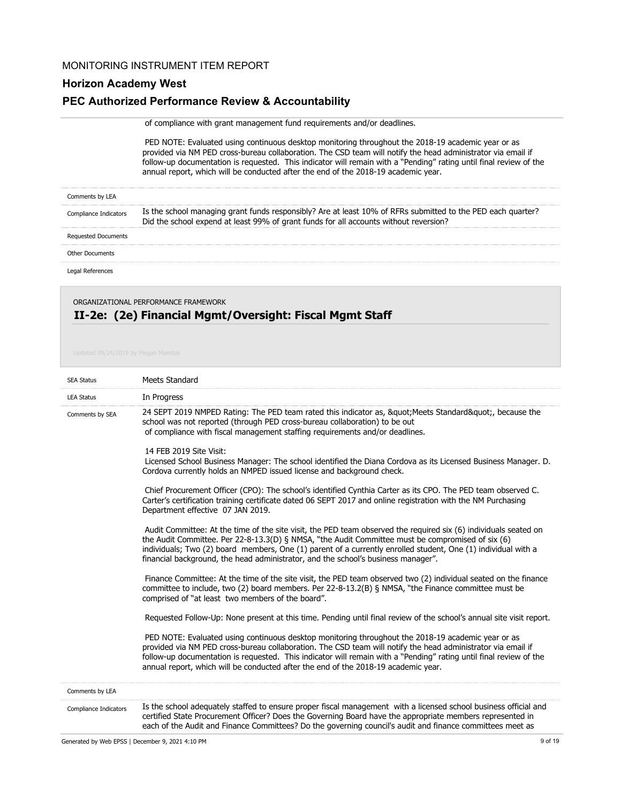## **Horizon Academy West**

### **PEC Authorized Performance Review & Accountability**

| of compliance with grant management fund requirements and/or deadlines. |  |
|-------------------------------------------------------------------------|--|
|                                                                         |  |

 PED NOTE: Evaluated using continuous desktop monitoring throughout the 2018-19 academic year or as provided via NM PED cross-bureau collaboration. The CSD team will notify the head administrator via email if follow-up documentation is requested. This indicator will remain with a "Pending" rating until final review of the annual report, which will be conducted after the end of the 2018-19 academic year.

| Comments by LEA       |                                                                                                                                                                                                      |
|-----------------------|------------------------------------------------------------------------------------------------------------------------------------------------------------------------------------------------------|
| Compliance Indicators | Is the school managing grant funds responsibly? Are at least 10% of RFRs submitted to the PED each quarter?<br>Did the school expend at least 99% of grant funds for all accounts without reversion? |
| Requested Documents   |                                                                                                                                                                                                      |
| Other Documents       |                                                                                                                                                                                                      |
|                       |                                                                                                                                                                                                      |

ORGANIZATIONAL PERFORMANCE FRAMEWORK

# **II-2e: (2e) Financial Mgmt/Oversight: Fiscal Mgmt Staff**

| <b>SEA Status</b>     | Meets Standard                                                                                                                                                                                                                                                                                                                                                                                                                 |
|-----------------------|--------------------------------------------------------------------------------------------------------------------------------------------------------------------------------------------------------------------------------------------------------------------------------------------------------------------------------------------------------------------------------------------------------------------------------|
| <b>LEA Status</b>     | In Progress                                                                                                                                                                                                                                                                                                                                                                                                                    |
| Comments by SEA       | 24 SEPT 2019 NMPED Rating: The PED team rated this indicator as, " Meets Standard", because the<br>school was not reported (through PED cross-bureau collaboration) to be out<br>of compliance with fiscal management staffing requirements and/or deadlines.                                                                                                                                                                  |
|                       | 14 FEB 2019 Site Visit:<br>Licensed School Business Manager: The school identified the Diana Cordova as its Licensed Business Manager. D.<br>Cordova currently holds an NMPED issued license and background check.                                                                                                                                                                                                             |
|                       | Chief Procurement Officer (CPO): The school's identified Cynthia Carter as its CPO. The PED team observed C.<br>Carter's certification training certificate dated 06 SEPT 2017 and online registration with the NM Purchasing<br>Department effective 07 JAN 2019.                                                                                                                                                             |
|                       | Audit Committee: At the time of the site visit, the PED team observed the required six (6) individuals seated on<br>the Audit Committee. Per 22-8-13.3(D) § NMSA, "the Audit Committee must be compromised of six (6)<br>individuals; Two (2) board members, One (1) parent of a currently enrolled student, One (1) individual with a<br>financial background, the head administrator, and the school's business manager".    |
|                       | Finance Committee: At the time of the site visit, the PED team observed two (2) individual seated on the finance<br>committee to include, two (2) board members. Per 22-8-13.2(B) § NMSA, "the Finance committee must be<br>comprised of "at least two members of the board".                                                                                                                                                  |
|                       | Requested Follow-Up: None present at this time. Pending until final review of the school's annual site visit report.                                                                                                                                                                                                                                                                                                           |
|                       | PED NOTE: Evaluated using continuous desktop monitoring throughout the 2018-19 academic year or as<br>provided via NM PED cross-bureau collaboration. The CSD team will notify the head administrator via email if<br>follow-up documentation is requested. This indicator will remain with a "Pending" rating until final review of the<br>annual report, which will be conducted after the end of the 2018-19 academic year. |
| Comments by LEA       |                                                                                                                                                                                                                                                                                                                                                                                                                                |
| Compliance Indicators | Is the school adequately staffed to ensure proper fiscal management with a licensed school business official and<br>certified State Procurement Officer? Does the Governing Board have the appropriate members represented in<br>each of the Audit and Finance Committees? Do the governing council's audit and finance committees meet as                                                                                     |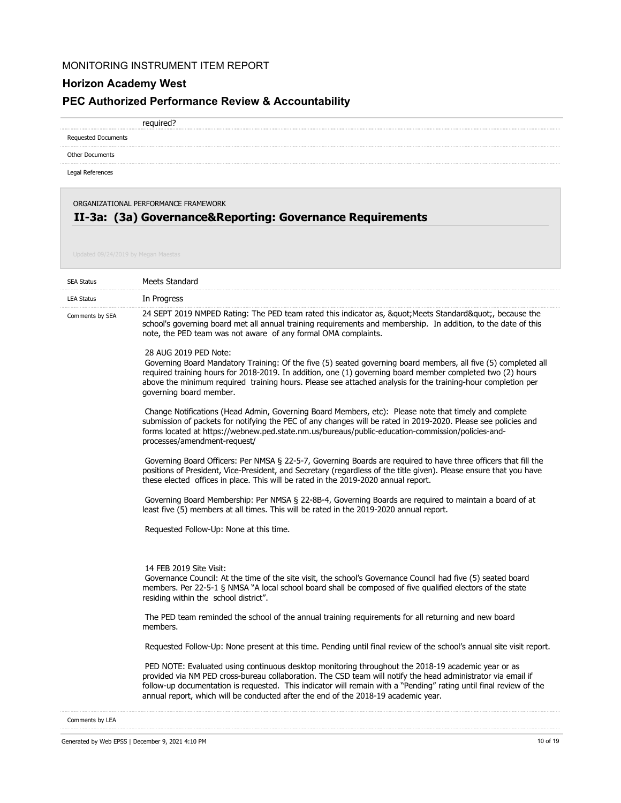## **Horizon Academy West**

## **PEC Authorized Performance Review & Accountability**

required?

Requested Documents

Other Documents

Legal References

ORGANIZATIONAL PERFORMANCE FRAMEWORK

## **II-3a: (3a) Governance&Reporting: Governance Requirements**

| <b>SEA Status</b> | Meets Standard                                                                                                                                                                                                                                                                                                                                                                                                                 |
|-------------------|--------------------------------------------------------------------------------------------------------------------------------------------------------------------------------------------------------------------------------------------------------------------------------------------------------------------------------------------------------------------------------------------------------------------------------|
| <b>LEA Status</b> | In Progress                                                                                                                                                                                                                                                                                                                                                                                                                    |
| Comments by SEA   | 24 SEPT 2019 NMPED Rating: The PED team rated this indicator as, " Meets Standard", because the<br>school's governing board met all annual training requirements and membership. In addition, to the date of this<br>note, the PED team was not aware of any formal OMA complaints.                                                                                                                                            |
|                   | 28 AUG 2019 PED Note:<br>Governing Board Mandatory Training: Of the five (5) seated governing board members, all five (5) completed all<br>required training hours for 2018-2019. In addition, one (1) governing board member completed two (2) hours<br>above the minimum required training hours. Please see attached analysis for the training-hour completion per<br>governing board member.                               |
|                   | Change Notifications (Head Admin, Governing Board Members, etc): Please note that timely and complete<br>submission of packets for notifying the PEC of any changes will be rated in 2019-2020. Please see policies and<br>forms located at https://webnew.ped.state.nm.us/bureaus/public-education-commission/policies-and-<br>processes/amendment-request/                                                                   |
|                   | Governing Board Officers: Per NMSA § 22-5-7, Governing Boards are required to have three officers that fill the<br>positions of President, Vice-President, and Secretary (regardless of the title given). Please ensure that you have<br>these elected offices in place. This will be rated in the 2019-2020 annual report.                                                                                                    |
|                   | Governing Board Membership: Per NMSA § 22-8B-4, Governing Boards are required to maintain a board of at<br>least five (5) members at all times. This will be rated in the 2019-2020 annual report.                                                                                                                                                                                                                             |
|                   | Requested Follow-Up: None at this time.                                                                                                                                                                                                                                                                                                                                                                                        |
|                   | 14 FEB 2019 Site Visit:<br>Governance Council: At the time of the site visit, the school's Governance Council had five (5) seated board<br>members. Per 22-5-1 § NMSA "A local school board shall be composed of five qualified electors of the state<br>residing within the school district".                                                                                                                                 |
|                   | The PED team reminded the school of the annual training requirements for all returning and new board<br>members.                                                                                                                                                                                                                                                                                                               |
|                   | Requested Follow-Up: None present at this time. Pending until final review of the school's annual site visit report.                                                                                                                                                                                                                                                                                                           |
|                   | PED NOTE: Evaluated using continuous desktop monitoring throughout the 2018-19 academic year or as<br>provided via NM PED cross-bureau collaboration. The CSD team will notify the head administrator via email if<br>follow-up documentation is requested. This indicator will remain with a "Pending" rating until final review of the<br>annual report, which will be conducted after the end of the 2018-19 academic year. |

Comments by LEA

Generated by Web EPSS | December 9, 2021 4:10 PM 10 of 19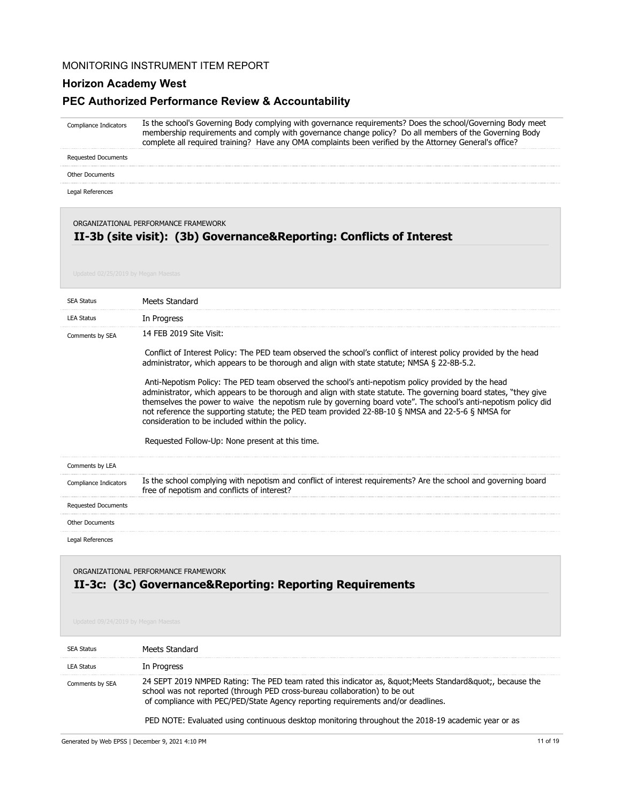### **Horizon Academy West**

## **PEC Authorized Performance Review & Accountability**

Is the school's Governing Body complying with governance requirements? Does the school/Governing Body meet membership requirements and comply with governance change policy? Do all members of the Governing Body complete all required training? Have any OMA complaints been verified by the Attorney General's office? Compliance Indicators

Requested Documents

Other Documents

Legal References

ORGANIZATIONAL PERFORMANCE FRAMEWORK

### **II-3b (site visit): (3b) Governance&Reporting: Conflicts of Interest**

| <b>SEA Status</b>          | Meets Standard                                                                                                                                                                                                                                                                                                                                                                                                                                                                                    |
|----------------------------|---------------------------------------------------------------------------------------------------------------------------------------------------------------------------------------------------------------------------------------------------------------------------------------------------------------------------------------------------------------------------------------------------------------------------------------------------------------------------------------------------|
| <b>LEA Status</b>          | In Progress                                                                                                                                                                                                                                                                                                                                                                                                                                                                                       |
| Comments by SEA            | 14 FEB 2019 Site Visit:                                                                                                                                                                                                                                                                                                                                                                                                                                                                           |
|                            | Conflict of Interest Policy: The PED team observed the school's conflict of interest policy provided by the head<br>administrator, which appears to be thorough and align with state statute; NMSA § 22-8B-5.2.                                                                                                                                                                                                                                                                                   |
|                            | Anti-Nepotism Policy: The PED team observed the school's anti-nepotism policy provided by the head<br>administrator, which appears to be thorough and align with state statute. The governing board states, "they give<br>themselves the power to waive the nepotism rule by governing board vote". The school's anti-nepotism policy did<br>not reference the supporting statute; the PED team provided 22-8B-10 § NMSA and 22-5-6 § NMSA for<br>consideration to be included within the policy. |
|                            | Requested Follow-Up: None present at this time.                                                                                                                                                                                                                                                                                                                                                                                                                                                   |
| Comments by LEA            |                                                                                                                                                                                                                                                                                                                                                                                                                                                                                                   |
| Compliance Indicators      | Is the school complying with nepotism and conflict of interest requirements? Are the school and governing board<br>free of nepotism and conflicts of interest?                                                                                                                                                                                                                                                                                                                                    |
| <b>Requested Documents</b> |                                                                                                                                                                                                                                                                                                                                                                                                                                                                                                   |
| <b>Other Documents</b>     |                                                                                                                                                                                                                                                                                                                                                                                                                                                                                                   |
| Legal References           |                                                                                                                                                                                                                                                                                                                                                                                                                                                                                                   |

ORGANIZATIONAL PERFORMANCE FRAMEWORK

### **II-3c: (3c) Governance&Reporting: Reporting Requirements**

| <b>SFA Status</b> | Meets Standard                                                                                                                                                                                                                                                    |
|-------------------|-------------------------------------------------------------------------------------------------------------------------------------------------------------------------------------------------------------------------------------------------------------------|
| <b>LEA Status</b> | In Progress                                                                                                                                                                                                                                                       |
| Comments by SEA   | 24 SEPT 2019 NMPED Rating: The PED team rated this indicator as, " Meets Standard", because the<br>school was not reported (through PED cross-bureau collaboration) to be out<br>of compliance with PEC/PED/State Agency reporting requirements and/or deadlines. |
|                   | PED NOTE: Evaluated using continuous desktop monitoring throughout the 2018-19 academic year or as                                                                                                                                                                |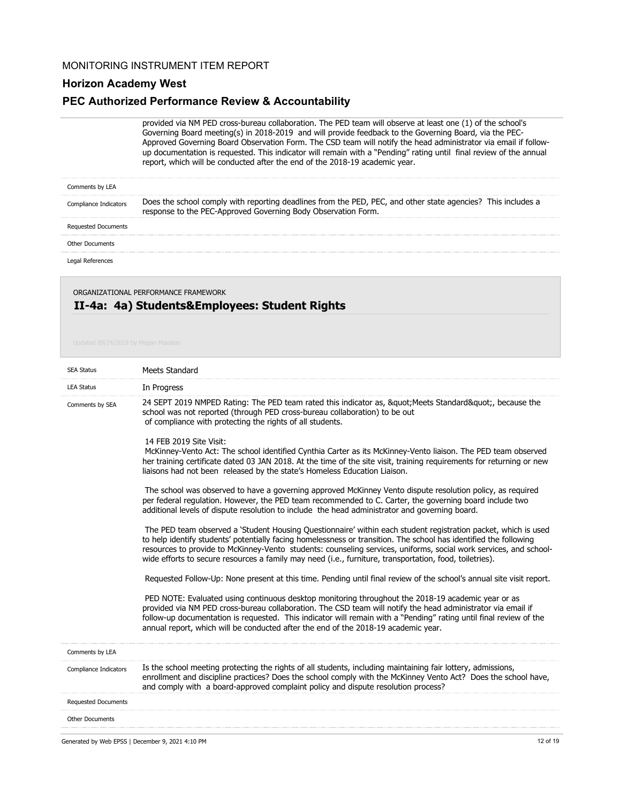## **Horizon Academy West**

### **PEC Authorized Performance Review & Accountability**

provided via NM PED cross-bureau collaboration. The PED team will observe at least one (1) of the school's Governing Board meeting(s) in 2018-2019 and will provide feedback to the Governing Board, via the PEC-Approved Governing Board Observation Form. The CSD team will notify the head administrator via email if followup documentation is requested. This indicator will remain with a "Pending" rating until final review of the annual report, which will be conducted after the end of the 2018-19 academic year.

| Comments by LEA            |                                                                                                                                                                               |
|----------------------------|-------------------------------------------------------------------------------------------------------------------------------------------------------------------------------|
| Compliance Indicators      | Does the school comply with reporting deadlines from the PED, PEC, and other state agencies? This includes a<br>response to the PEC-Approved Governing Body Observation Form. |
| <b>Requested Documents</b> |                                                                                                                                                                               |
| Other Documents            |                                                                                                                                                                               |
| Legal References           |                                                                                                                                                                               |

## **II-4a: 4a) Students&Employees: Student Rights** ORGANIZATIONAL PERFORMANCE FRAMEWORK

| <b>SEA Status</b>          | <b>Meets Standard</b>                                                                                                                                                                                                                                                                                                                                                                                                                                               |
|----------------------------|---------------------------------------------------------------------------------------------------------------------------------------------------------------------------------------------------------------------------------------------------------------------------------------------------------------------------------------------------------------------------------------------------------------------------------------------------------------------|
| <b>LEA Status</b>          | In Progress                                                                                                                                                                                                                                                                                                                                                                                                                                                         |
| Comments by SEA            | 24 SEPT 2019 NMPED Rating: The PED team rated this indicator as, " Meets Standard", because the<br>school was not reported (through PED cross-bureau collaboration) to be out<br>of compliance with protecting the rights of all students.                                                                                                                                                                                                                          |
|                            | 14 FEB 2019 Site Visit:<br>McKinney-Vento Act: The school identified Cynthia Carter as its McKinney-Vento liaison. The PED team observed<br>her training certificate dated 03 JAN 2018. At the time of the site visit, training requirements for returning or new<br>liaisons had not been released by the state's Homeless Education Liaison.                                                                                                                      |
|                            | The school was observed to have a governing approved McKinney Vento dispute resolution policy, as required<br>per federal regulation. However, the PED team recommended to C. Carter, the governing board include two<br>additional levels of dispute resolution to include the head administrator and governing board.                                                                                                                                             |
|                            | The PED team observed a 'Student Housing Questionnaire' within each student registration packet, which is used<br>to help identify students' potentially facing homelessness or transition. The school has identified the following<br>resources to provide to McKinney-Vento students: counseling services, uniforms, social work services, and school-<br>wide efforts to secure resources a family may need (i.e., furniture, transportation, food, toiletries). |
|                            | Requested Follow-Up: None present at this time. Pending until final review of the school's annual site visit report.                                                                                                                                                                                                                                                                                                                                                |
|                            | PED NOTE: Evaluated using continuous desktop monitoring throughout the 2018-19 academic year or as<br>provided via NM PED cross-bureau collaboration. The CSD team will notify the head administrator via email if<br>follow-up documentation is requested. This indicator will remain with a "Pending" rating until final review of the<br>annual report, which will be conducted after the end of the 2018-19 academic year.                                      |
| Comments by LEA            |                                                                                                                                                                                                                                                                                                                                                                                                                                                                     |
| Compliance Indicators      | Is the school meeting protecting the rights of all students, including maintaining fair lottery, admissions,<br>enrollment and discipline practices? Does the school comply with the McKinney Vento Act? Does the school have,<br>and comply with a board-approved complaint policy and dispute resolution process?                                                                                                                                                 |
| <b>Requested Documents</b> |                                                                                                                                                                                                                                                                                                                                                                                                                                                                     |
| <b>Other Documents</b>     |                                                                                                                                                                                                                                                                                                                                                                                                                                                                     |
|                            |                                                                                                                                                                                                                                                                                                                                                                                                                                                                     |

Generated by Web EPSS | December 9, 2021 4:10 PM 12 of 19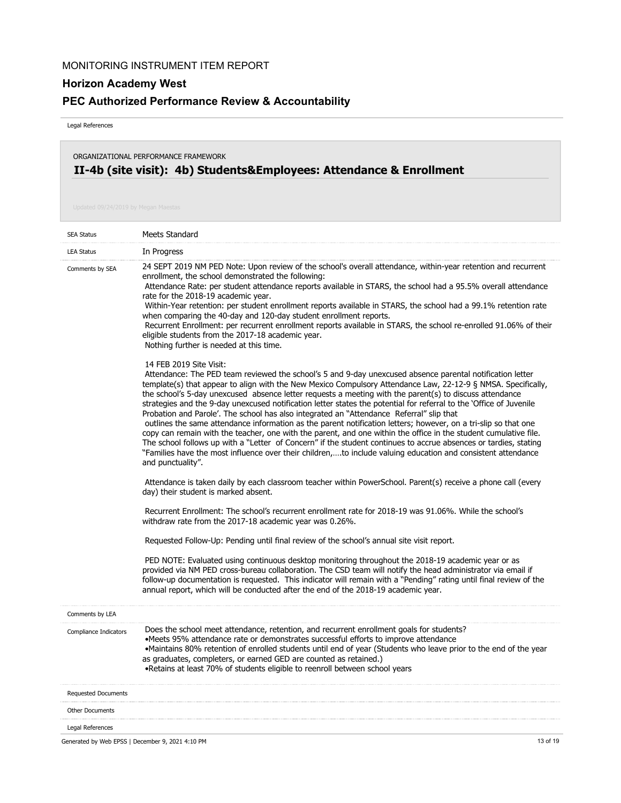## **PEC Authorized Performance Review & Accountability**

Legal References

## **II-4b (site visit): 4b) Students&Employees: Attendance & Enrollment** ORGANIZATIONAL PERFORMANCE FRAMEWORK

| <b>SEA Status</b>          | Meets Standard                                                                                                                                                                                                                                                                                                                                                                                                                                                                                                                                                                                                                                                                                                                                                                                                                                                                                                                                                                                                                                                                      |
|----------------------------|-------------------------------------------------------------------------------------------------------------------------------------------------------------------------------------------------------------------------------------------------------------------------------------------------------------------------------------------------------------------------------------------------------------------------------------------------------------------------------------------------------------------------------------------------------------------------------------------------------------------------------------------------------------------------------------------------------------------------------------------------------------------------------------------------------------------------------------------------------------------------------------------------------------------------------------------------------------------------------------------------------------------------------------------------------------------------------------|
| <b>LEA Status</b>          | In Progress                                                                                                                                                                                                                                                                                                                                                                                                                                                                                                                                                                                                                                                                                                                                                                                                                                                                                                                                                                                                                                                                         |
| Comments by SEA            | 24 SEPT 2019 NM PED Note: Upon review of the school's overall attendance, within-year retention and recurrent<br>enrollment, the school demonstrated the following:<br>Attendance Rate: per student attendance reports available in STARS, the school had a 95.5% overall attendance<br>rate for the 2018-19 academic year.<br>Within-Year retention: per student enrollment reports available in STARS, the school had a 99.1% retention rate<br>when comparing the 40-day and 120-day student enrollment reports.<br>Recurrent Enrollment: per recurrent enrollment reports available in STARS, the school re-enrolled 91.06% of their<br>eligible students from the 2017-18 academic year.<br>Nothing further is needed at this time.                                                                                                                                                                                                                                                                                                                                            |
|                            | 14 FEB 2019 Site Visit:<br>Attendance: The PED team reviewed the school's 5 and 9-day unexcused absence parental notification letter<br>template(s) that appear to align with the New Mexico Compulsory Attendance Law, 22-12-9 § NMSA. Specifically,<br>the school's 5-day unexcused absence letter requests a meeting with the parent(s) to discuss attendance<br>strategies and the 9-day unexcused notification letter states the potential for referral to the 'Office of Juvenile<br>Probation and Parole'. The school has also integrated an "Attendance Referral" slip that<br>outlines the same attendance information as the parent notification letters; however, on a tri-slip so that one<br>copy can remain with the teacher, one with the parent, and one within the office in the student cumulative file.<br>The school follows up with a "Letter of Concern" if the student continues to accrue absences or tardies, stating<br>"Families have the most influence over their children,to include valuing education and consistent attendance<br>and punctuality". |
|                            | Attendance is taken daily by each classroom teacher within PowerSchool. Parent(s) receive a phone call (every<br>day) their student is marked absent.                                                                                                                                                                                                                                                                                                                                                                                                                                                                                                                                                                                                                                                                                                                                                                                                                                                                                                                               |
|                            | Recurrent Enrollment: The school's recurrent enrollment rate for 2018-19 was 91.06%. While the school's<br>withdraw rate from the 2017-18 academic year was 0.26%.                                                                                                                                                                                                                                                                                                                                                                                                                                                                                                                                                                                                                                                                                                                                                                                                                                                                                                                  |
|                            | Requested Follow-Up: Pending until final review of the school's annual site visit report.                                                                                                                                                                                                                                                                                                                                                                                                                                                                                                                                                                                                                                                                                                                                                                                                                                                                                                                                                                                           |
|                            | PED NOTE: Evaluated using continuous desktop monitoring throughout the 2018-19 academic year or as<br>provided via NM PED cross-bureau collaboration. The CSD team will notify the head administrator via email if<br>follow-up documentation is requested. This indicator will remain with a "Pending" rating until final review of the<br>annual report, which will be conducted after the end of the 2018-19 academic year.                                                                                                                                                                                                                                                                                                                                                                                                                                                                                                                                                                                                                                                      |
| Comments by LEA            |                                                                                                                                                                                                                                                                                                                                                                                                                                                                                                                                                                                                                                                                                                                                                                                                                                                                                                                                                                                                                                                                                     |
| Compliance Indicators      | Does the school meet attendance, retention, and recurrent enrollment goals for students?<br>•Meets 95% attendance rate or demonstrates successful efforts to improve attendance<br>.Maintains 80% retention of enrolled students until end of year (Students who leave prior to the end of the year<br>as graduates, completers, or earned GED are counted as retained.)<br>. Retains at least 70% of students eligible to reenroll between school years                                                                                                                                                                                                                                                                                                                                                                                                                                                                                                                                                                                                                            |
| <b>Requested Documents</b> |                                                                                                                                                                                                                                                                                                                                                                                                                                                                                                                                                                                                                                                                                                                                                                                                                                                                                                                                                                                                                                                                                     |
| <b>Other Documents</b>     |                                                                                                                                                                                                                                                                                                                                                                                                                                                                                                                                                                                                                                                                                                                                                                                                                                                                                                                                                                                                                                                                                     |
| Legal References           |                                                                                                                                                                                                                                                                                                                                                                                                                                                                                                                                                                                                                                                                                                                                                                                                                                                                                                                                                                                                                                                                                     |
|                            | 13 of 19<br>Generated by Web EPSS   December 9, 2021 4:10 PM                                                                                                                                                                                                                                                                                                                                                                                                                                                                                                                                                                                                                                                                                                                                                                                                                                                                                                                                                                                                                        |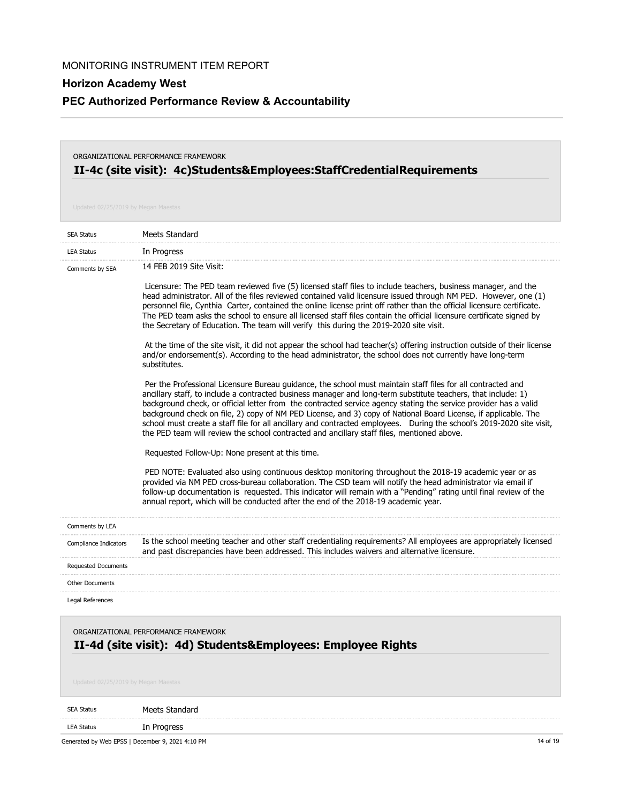## **PEC Authorized Performance Review & Accountability**

## **II-4c (site visit): 4c)Students&Employees:StaffCredentialRequirements** ORGANIZATIONAL PERFORMANCE FRAMEWORK

| <b>SEA Status</b>                                                                                                                          | Meets Standard                                                                                                                                                                                                                                                                                                                                                                                                                                                                                                                                                                                                                                                                                                                                                                                                                                                                                                                                                                                                                                                                                                                                                                                                                                                                                                                                                                                                                                                                                                                                                                                                                                                                                                                                                                                                                                                                                                                                                                                                                                         |
|--------------------------------------------------------------------------------------------------------------------------------------------|--------------------------------------------------------------------------------------------------------------------------------------------------------------------------------------------------------------------------------------------------------------------------------------------------------------------------------------------------------------------------------------------------------------------------------------------------------------------------------------------------------------------------------------------------------------------------------------------------------------------------------------------------------------------------------------------------------------------------------------------------------------------------------------------------------------------------------------------------------------------------------------------------------------------------------------------------------------------------------------------------------------------------------------------------------------------------------------------------------------------------------------------------------------------------------------------------------------------------------------------------------------------------------------------------------------------------------------------------------------------------------------------------------------------------------------------------------------------------------------------------------------------------------------------------------------------------------------------------------------------------------------------------------------------------------------------------------------------------------------------------------------------------------------------------------------------------------------------------------------------------------------------------------------------------------------------------------------------------------------------------------------------------------------------------------|
| <b>LEA Status</b>                                                                                                                          | In Progress                                                                                                                                                                                                                                                                                                                                                                                                                                                                                                                                                                                                                                                                                                                                                                                                                                                                                                                                                                                                                                                                                                                                                                                                                                                                                                                                                                                                                                                                                                                                                                                                                                                                                                                                                                                                                                                                                                                                                                                                                                            |
| Comments by SEA                                                                                                                            | 14 FEB 2019 Site Visit:<br>Licensure: The PED team reviewed five (5) licensed staff files to include teachers, business manager, and the<br>head administrator. All of the files reviewed contained valid licensure issued through NM PED. However, one (1)<br>personnel file, Cynthia Carter, contained the online license print off rather than the official licensure certificate.<br>The PED team asks the school to ensure all licensed staff files contain the official licensure certificate signed by<br>the Secretary of Education. The team will verify this during the 2019-2020 site visit.<br>At the time of the site visit, it did not appear the school had teacher(s) offering instruction outside of their license<br>and/or endorsement(s). According to the head administrator, the school does not currently have long-term<br>substitutes.<br>Per the Professional Licensure Bureau guidance, the school must maintain staff files for all contracted and<br>ancillary staff, to include a contracted business manager and long-term substitute teachers, that include: 1)<br>background check, or official letter from the contracted service agency stating the service provider has a valid<br>background check on file, 2) copy of NM PED License, and 3) copy of National Board License, if applicable. The<br>school must create a staff file for all ancillary and contracted employees. During the school's 2019-2020 site visit,<br>the PED team will review the school contracted and ancillary staff files, mentioned above.<br>Requested Follow-Up: None present at this time.<br>PED NOTE: Evaluated also using continuous desktop monitoring throughout the 2018-19 academic year or as<br>provided via NM PED cross-bureau collaboration. The CSD team will notify the head administrator via email if<br>follow-up documentation is requested. This indicator will remain with a "Pending" rating until final review of the<br>annual report, which will be conducted after the end of the 2018-19 academic year. |
| Comments by LEA                                                                                                                            |                                                                                                                                                                                                                                                                                                                                                                                                                                                                                                                                                                                                                                                                                                                                                                                                                                                                                                                                                                                                                                                                                                                                                                                                                                                                                                                                                                                                                                                                                                                                                                                                                                                                                                                                                                                                                                                                                                                                                                                                                                                        |
| Compliance Indicators                                                                                                                      | Is the school meeting teacher and other staff credentialing requirements? All employees are appropriately licensed<br>and past discrepancies have been addressed. This includes waivers and alternative licensure.                                                                                                                                                                                                                                                                                                                                                                                                                                                                                                                                                                                                                                                                                                                                                                                                                                                                                                                                                                                                                                                                                                                                                                                                                                                                                                                                                                                                                                                                                                                                                                                                                                                                                                                                                                                                                                     |
| <b>Requested Documents</b>                                                                                                                 |                                                                                                                                                                                                                                                                                                                                                                                                                                                                                                                                                                                                                                                                                                                                                                                                                                                                                                                                                                                                                                                                                                                                                                                                                                                                                                                                                                                                                                                                                                                                                                                                                                                                                                                                                                                                                                                                                                                                                                                                                                                        |
| Other Documents                                                                                                                            |                                                                                                                                                                                                                                                                                                                                                                                                                                                                                                                                                                                                                                                                                                                                                                                                                                                                                                                                                                                                                                                                                                                                                                                                                                                                                                                                                                                                                                                                                                                                                                                                                                                                                                                                                                                                                                                                                                                                                                                                                                                        |
| Legal References                                                                                                                           |                                                                                                                                                                                                                                                                                                                                                                                                                                                                                                                                                                                                                                                                                                                                                                                                                                                                                                                                                                                                                                                                                                                                                                                                                                                                                                                                                                                                                                                                                                                                                                                                                                                                                                                                                                                                                                                                                                                                                                                                                                                        |
| ORGANIZATIONAL PERFORMANCE FRAMEWORK<br>II-4d (site visit): 4d) Students&Employees: Employee Rights<br>Updated 02/25/2019 by Megan Maestas |                                                                                                                                                                                                                                                                                                                                                                                                                                                                                                                                                                                                                                                                                                                                                                                                                                                                                                                                                                                                                                                                                                                                                                                                                                                                                                                                                                                                                                                                                                                                                                                                                                                                                                                                                                                                                                                                                                                                                                                                                                                        |
| <b>SEA Status</b>                                                                                                                          | Meets Standard                                                                                                                                                                                                                                                                                                                                                                                                                                                                                                                                                                                                                                                                                                                                                                                                                                                                                                                                                                                                                                                                                                                                                                                                                                                                                                                                                                                                                                                                                                                                                                                                                                                                                                                                                                                                                                                                                                                                                                                                                                         |
| <b>LEA Status</b>                                                                                                                          | In Progress                                                                                                                                                                                                                                                                                                                                                                                                                                                                                                                                                                                                                                                                                                                                                                                                                                                                                                                                                                                                                                                                                                                                                                                                                                                                                                                                                                                                                                                                                                                                                                                                                                                                                                                                                                                                                                                                                                                                                                                                                                            |
|                                                                                                                                            | Generated by Web EPSS   December 9, 2021 4:10 PM<br>14 of 19                                                                                                                                                                                                                                                                                                                                                                                                                                                                                                                                                                                                                                                                                                                                                                                                                                                                                                                                                                                                                                                                                                                                                                                                                                                                                                                                                                                                                                                                                                                                                                                                                                                                                                                                                                                                                                                                                                                                                                                           |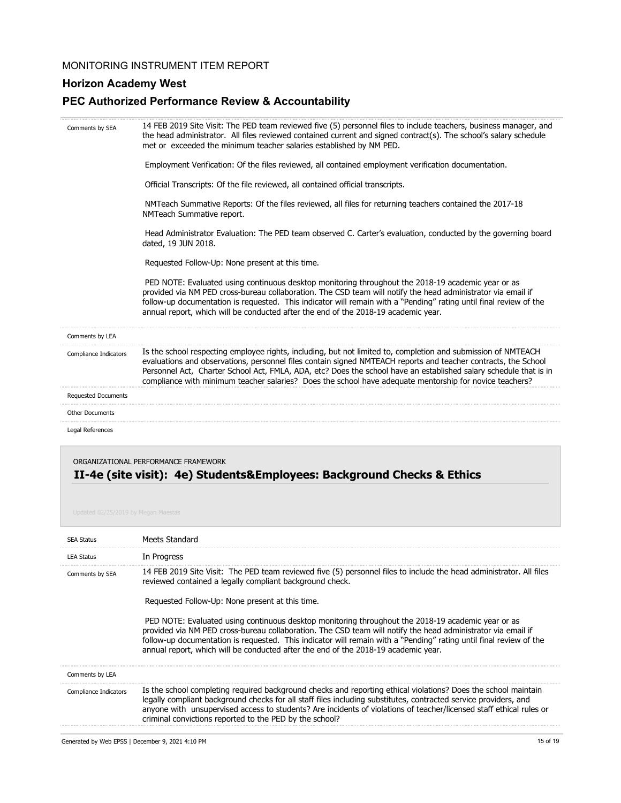## **Horizon Academy West**

## **PEC Authorized Performance Review & Accountability**

| Comments by SEA                     | 14 FEB 2019 Site Visit: The PED team reviewed five (5) personnel files to include teachers, business manager, and<br>the head administrator. All files reviewed contained current and signed contract(s). The school's salary schedule<br>met or exceeded the minimum teacher salaries established by NM PED.                                                                                                                                                   |
|-------------------------------------|-----------------------------------------------------------------------------------------------------------------------------------------------------------------------------------------------------------------------------------------------------------------------------------------------------------------------------------------------------------------------------------------------------------------------------------------------------------------|
|                                     | Employment Verification: Of the files reviewed, all contained employment verification documentation.                                                                                                                                                                                                                                                                                                                                                            |
|                                     | Official Transcripts: Of the file reviewed, all contained official transcripts.                                                                                                                                                                                                                                                                                                                                                                                 |
|                                     | NMTeach Summative Reports: Of the files reviewed, all files for returning teachers contained the 2017-18<br>NMTeach Summative report.                                                                                                                                                                                                                                                                                                                           |
|                                     | Head Administrator Evaluation: The PED team observed C. Carter's evaluation, conducted by the governing board<br>dated, 19 JUN 2018.                                                                                                                                                                                                                                                                                                                            |
|                                     | Requested Follow-Up: None present at this time.                                                                                                                                                                                                                                                                                                                                                                                                                 |
|                                     | PED NOTE: Evaluated using continuous desktop monitoring throughout the 2018-19 academic year or as<br>provided via NM PED cross-bureau collaboration. The CSD team will notify the head administrator via email if<br>follow-up documentation is requested. This indicator will remain with a "Pending" rating until final review of the<br>annual report, which will be conducted after the end of the 2018-19 academic year.                                  |
| Comments by LEA                     |                                                                                                                                                                                                                                                                                                                                                                                                                                                                 |
| Compliance Indicators               | Is the school respecting employee rights, including, but not limited to, completion and submission of NMTEACH<br>evaluations and observations, personnel files contain signed NMTEACH reports and teacher contracts, the School<br>Personnel Act, Charter School Act, FMLA, ADA, etc? Does the school have an established salary schedule that is in<br>compliance with minimum teacher salaries? Does the school have adequate mentorship for novice teachers? |
| <b>Requested Documents</b>          |                                                                                                                                                                                                                                                                                                                                                                                                                                                                 |
| <b>Other Documents</b>              |                                                                                                                                                                                                                                                                                                                                                                                                                                                                 |
| Legal References                    |                                                                                                                                                                                                                                                                                                                                                                                                                                                                 |
| Updated 02/25/2019 by Megan Maestas | ORGANIZATIONAL PERFORMANCE FRAMEWORK<br>II-4e (site visit): 4e) Students&Employees: Background Checks & Ethics                                                                                                                                                                                                                                                                                                                                                  |

| <b>SEA Status</b>     | Meets Standard                                                                                                                                                                                                                                                                                                                                                                                                                                                                                                                                                                                                                                                       |
|-----------------------|----------------------------------------------------------------------------------------------------------------------------------------------------------------------------------------------------------------------------------------------------------------------------------------------------------------------------------------------------------------------------------------------------------------------------------------------------------------------------------------------------------------------------------------------------------------------------------------------------------------------------------------------------------------------|
| <b>LEA Status</b>     | In Progress                                                                                                                                                                                                                                                                                                                                                                                                                                                                                                                                                                                                                                                          |
| Comments by SEA       | 14 FEB 2019 Site Visit: The PED team reviewed five (5) personnel files to include the head administrator. All files<br>reviewed contained a legally compliant background check.<br>Requested Follow-Up: None present at this time.<br>PED NOTE: Evaluated using continuous desktop monitoring throughout the 2018-19 academic year or as<br>provided via NM PED cross-bureau collaboration. The CSD team will notify the head administrator via email if<br>follow-up documentation is requested. This indicator will remain with a "Pending" rating until final review of the<br>annual report, which will be conducted after the end of the 2018-19 academic year. |
| Comments by LEA       |                                                                                                                                                                                                                                                                                                                                                                                                                                                                                                                                                                                                                                                                      |
| Compliance Indicators | Is the school completing required background checks and reporting ethical violations? Does the school maintain<br>legally compliant background checks for all staff files including substitutes, contracted service providers, and<br>anyone with unsupervised access to students? Are incidents of violations of teacher/licensed staff ethical rules or<br>criminal convictions reported to the PED by the school?                                                                                                                                                                                                                                                 |
|                       |                                                                                                                                                                                                                                                                                                                                                                                                                                                                                                                                                                                                                                                                      |

Generated by Web EPSS | December 9, 2021 4:10 PM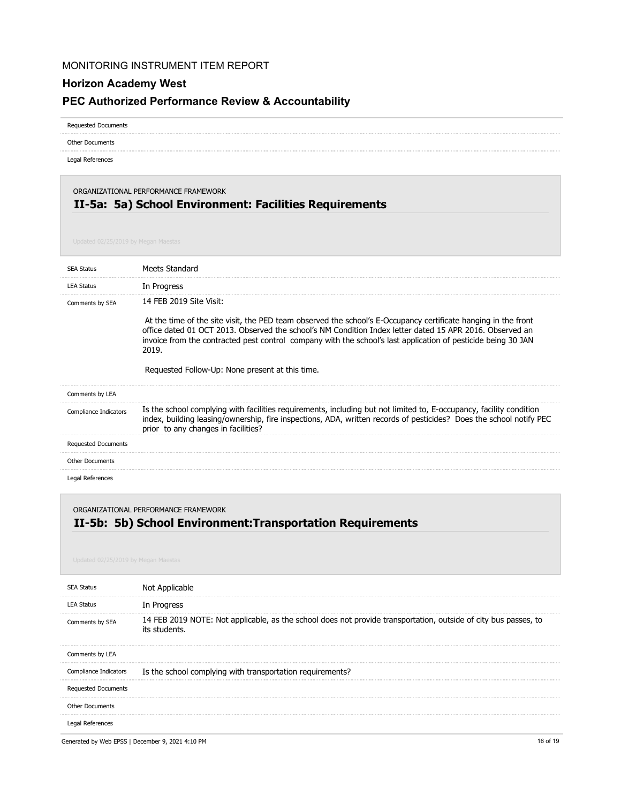## **Horizon Academy West**

## **PEC Authorized Performance Review & Accountability**

Requested Documents

Other Documents

Legal References

## **II-5a: 5a) School Environment: Facilities Requirements** ORGANIZATIONAL PERFORMANCE FRAMEWORK

| <b>SEA Status</b>          | Meets Standard                                                                                                                                                                                                                                                                    |
|----------------------------|-----------------------------------------------------------------------------------------------------------------------------------------------------------------------------------------------------------------------------------------------------------------------------------|
| <b>LEA Status</b>          | In Progress                                                                                                                                                                                                                                                                       |
| Comments by SEA            | 14 FFB 2019 Site Visit:<br>At the time of the site visit, the PED team observed the school's E-Occupancy certificate hanging in the front                                                                                                                                         |
|                            | office dated 01 OCT 2013. Observed the school's NM Condition Index letter dated 15 APR 2016. Observed an<br>invoice from the contracted pest control company with the school's last application of pesticide being 30 JAN<br>2019.                                                |
|                            | Requested Follow-Up: None present at this time.                                                                                                                                                                                                                                   |
| Comments by LEA            |                                                                                                                                                                                                                                                                                   |
| Compliance Indicators      | Is the school complying with facilities requirements, including but not limited to, E-occupancy, facility condition<br>index, building leasing/ownership, fire inspections, ADA, written records of pesticides? Does the school notify PEC<br>prior to any changes in facilities? |
| <b>Requested Documents</b> |                                                                                                                                                                                                                                                                                   |
| <b>Other Documents</b>     |                                                                                                                                                                                                                                                                                   |
| Legal References           |                                                                                                                                                                                                                                                                                   |

ORGANIZATIONAL PERFORMANCE FRAMEWORK

## **II-5b: 5b) School Environment:Transportation Requirements**

| <b>SEA Status</b>          | Not Applicable                                                                                                                   |
|----------------------------|----------------------------------------------------------------------------------------------------------------------------------|
| LEA Status                 | In Progress                                                                                                                      |
| Comments by SEA            | 14 FEB 2019 NOTE: Not applicable, as the school does not provide transportation, outside of city bus passes, to<br>its students. |
| Comments by LEA            |                                                                                                                                  |
| Compliance Indicators      | Is the school complying with transportation requirements?                                                                        |
| <b>Requested Documents</b> |                                                                                                                                  |
| Other Documents            |                                                                                                                                  |
| Legal References           |                                                                                                                                  |

Generated by Web EPSS | December 9, 2021 4:10 PM 16 of 19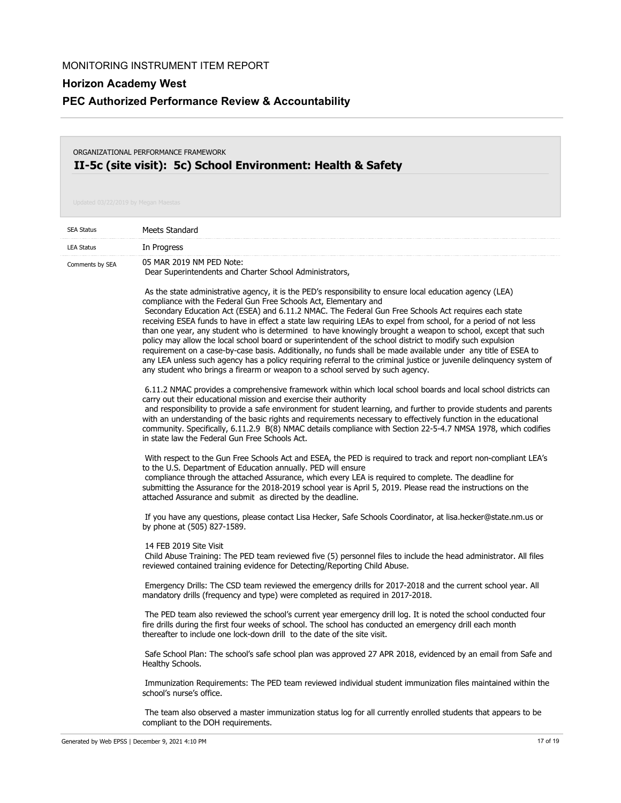**PEC Authorized Performance Review & Accountability**

## **II-5c (site visit): 5c) School Environment: Health & Safety** ORGANIZATIONAL PERFORMANCE FRAMEWORK

| <b>SEA Status</b> | Meets Standard                                                                                                                                                                                                                                                                                                                                                                                                                                                                                                                                                                                                                                                                                                                                                                                                                                                                                                                                                   |
|-------------------|------------------------------------------------------------------------------------------------------------------------------------------------------------------------------------------------------------------------------------------------------------------------------------------------------------------------------------------------------------------------------------------------------------------------------------------------------------------------------------------------------------------------------------------------------------------------------------------------------------------------------------------------------------------------------------------------------------------------------------------------------------------------------------------------------------------------------------------------------------------------------------------------------------------------------------------------------------------|
| <b>LEA Status</b> | In Progress                                                                                                                                                                                                                                                                                                                                                                                                                                                                                                                                                                                                                                                                                                                                                                                                                                                                                                                                                      |
| Comments by SEA   | 05 MAR 2019 NM PED Note:<br>Dear Superintendents and Charter School Administrators,                                                                                                                                                                                                                                                                                                                                                                                                                                                                                                                                                                                                                                                                                                                                                                                                                                                                              |
|                   | As the state administrative agency, it is the PED's responsibility to ensure local education agency (LEA)<br>compliance with the Federal Gun Free Schools Act, Elementary and<br>Secondary Education Act (ESEA) and 6.11.2 NMAC. The Federal Gun Free Schools Act requires each state<br>receiving ESEA funds to have in effect a state law requiring LEAs to expel from school, for a period of not less<br>than one year, any student who is determined to have knowingly brought a weapon to school, except that such<br>policy may allow the local school board or superintendent of the school district to modify such expulsion<br>requirement on a case-by-case basis. Additionally, no funds shall be made available under any title of ESEA to<br>any LEA unless such agency has a policy requiring referral to the criminal justice or juvenile delinguency system of<br>any student who brings a firearm or weapon to a school served by such agency. |
|                   | 6.11.2 NMAC provides a comprehensive framework within which local school boards and local school districts can<br>carry out their educational mission and exercise their authority<br>and responsibility to provide a safe environment for student learning, and further to provide students and parents<br>with an understanding of the basic rights and requirements necessary to effectively function in the educational<br>community. Specifically, 6.11.2.9 B(8) NMAC details compliance with Section 22-5-4.7 NMSA 1978, which codifies<br>in state law the Federal Gun Free Schools Act.                                                                                                                                                                                                                                                                                                                                                                  |
|                   | With respect to the Gun Free Schools Act and ESEA, the PED is required to track and report non-compliant LEA's<br>to the U.S. Department of Education annually. PED will ensure<br>compliance through the attached Assurance, which every LEA is required to complete. The deadline for<br>submitting the Assurance for the 2018-2019 school year is April 5, 2019. Please read the instructions on the<br>attached Assurance and submit as directed by the deadline.                                                                                                                                                                                                                                                                                                                                                                                                                                                                                            |
|                   | If you have any questions, please contact Lisa Hecker, Safe Schools Coordinator, at lisa.hecker@state.nm.us or<br>by phone at (505) 827-1589.                                                                                                                                                                                                                                                                                                                                                                                                                                                                                                                                                                                                                                                                                                                                                                                                                    |
|                   | 14 FEB 2019 Site Visit<br>Child Abuse Training: The PED team reviewed five (5) personnel files to include the head administrator. All files<br>reviewed contained training evidence for Detecting/Reporting Child Abuse.                                                                                                                                                                                                                                                                                                                                                                                                                                                                                                                                                                                                                                                                                                                                         |
|                   | Emergency Drills: The CSD team reviewed the emergency drills for 2017-2018 and the current school year. All<br>mandatory drills (frequency and type) were completed as required in 2017-2018.                                                                                                                                                                                                                                                                                                                                                                                                                                                                                                                                                                                                                                                                                                                                                                    |
|                   | The PED team also reviewed the school's current year emergency drill log. It is noted the school conducted four<br>fire drills during the first four weeks of school. The school has conducted an emergency drill each month<br>thereafter to include one lock-down drill to the date of the site visit.                                                                                                                                                                                                                                                                                                                                                                                                                                                                                                                                                                                                                                                         |
|                   | Safe School Plan: The school's safe school plan was approved 27 APR 2018, evidenced by an email from Safe and<br>Healthy Schools.                                                                                                                                                                                                                                                                                                                                                                                                                                                                                                                                                                                                                                                                                                                                                                                                                                |
|                   | Immunization Requirements: The PED team reviewed individual student immunization files maintained within the<br>school's nurse's office.                                                                                                                                                                                                                                                                                                                                                                                                                                                                                                                                                                                                                                                                                                                                                                                                                         |
|                   | The team also observed a master immunization status log for all currently enrolled students that appears to be<br>compliant to the DOH requirements.                                                                                                                                                                                                                                                                                                                                                                                                                                                                                                                                                                                                                                                                                                                                                                                                             |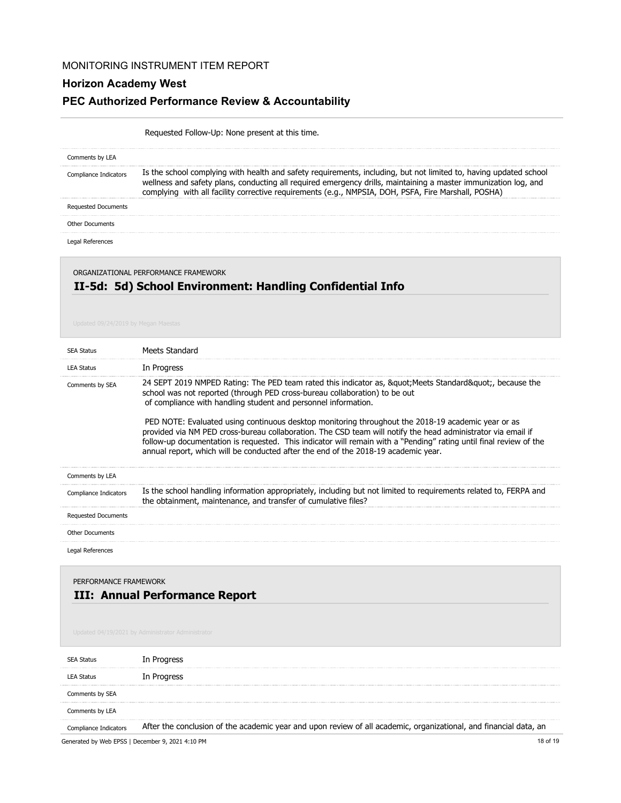## **Horizon Academy West**

### **PEC Authorized Performance Review & Accountability**

## Requested Follow-Up: None present at this time. Is the school complying with health and safety requirements, including, but not limited to, having updated school wellness and safety plans, conducting all required emergency drills, maintaining a master immunization log, and complying with all facility corrective requirements (e.g., NMPSIA, DOH, PSFA, Fire Marshall, POSHA) Comments by LEA Compliance Indicators Requested Documents Legal References Other Documents

# ORGANIZATIONAL PERFORMANCE FRAMEWORK

## **II-5d: 5d) School Environment: Handling Confidential Info**

| <b>SEA Status</b>                                       | Meets Standard                                                                                                                                                                                                                                                                                                                                                                                                                                                                                                                                                                                                                                                                                 |
|---------------------------------------------------------|------------------------------------------------------------------------------------------------------------------------------------------------------------------------------------------------------------------------------------------------------------------------------------------------------------------------------------------------------------------------------------------------------------------------------------------------------------------------------------------------------------------------------------------------------------------------------------------------------------------------------------------------------------------------------------------------|
| <b>LEA Status</b>                                       | In Progress                                                                                                                                                                                                                                                                                                                                                                                                                                                                                                                                                                                                                                                                                    |
| Comments by SEA                                         | 24 SEPT 2019 NMPED Rating: The PED team rated this indicator as, & quot; Meets Standard & quot;, because the<br>school was not reported (through PED cross-bureau collaboration) to be out<br>of compliance with handling student and personnel information.<br>PED NOTE: Evaluated using continuous desktop monitoring throughout the 2018-19 academic year or as<br>provided via NM PED cross-bureau collaboration. The CSD team will notify the head administrator via email if<br>follow-up documentation is requested. This indicator will remain with a "Pending" rating until final review of the<br>annual report, which will be conducted after the end of the 2018-19 academic year. |
| Comments by LEA                                         |                                                                                                                                                                                                                                                                                                                                                                                                                                                                                                                                                                                                                                                                                                |
| Compliance Indicators                                   | Is the school handling information appropriately, including but not limited to requirements related to, FERPA and<br>the obtainment, maintenance, and transfer of cumulative files?                                                                                                                                                                                                                                                                                                                                                                                                                                                                                                            |
| <b>Requested Documents</b>                              |                                                                                                                                                                                                                                                                                                                                                                                                                                                                                                                                                                                                                                                                                                |
| <b>Other Documents</b>                                  |                                                                                                                                                                                                                                                                                                                                                                                                                                                                                                                                                                                                                                                                                                |
| Legal References                                        |                                                                                                                                                                                                                                                                                                                                                                                                                                                                                                                                                                                                                                                                                                |
| PERFORMANCE FRAMEWORK<br>III: Annual Performance Report |                                                                                                                                                                                                                                                                                                                                                                                                                                                                                                                                                                                                                                                                                                |

| <b>SEA Status</b>     | In Progress                                                                                                       |
|-----------------------|-------------------------------------------------------------------------------------------------------------------|
| LEA Status            | In Progress                                                                                                       |
| Comments by SEA       |                                                                                                                   |
| Comments by LEA       |                                                                                                                   |
| Compliance Indicators | After the conclusion of the academic year and upon review of all academic, organizational, and financial data, an |

Generated by Web EPSS | December 9, 2021 4:10 PM 18 of 19